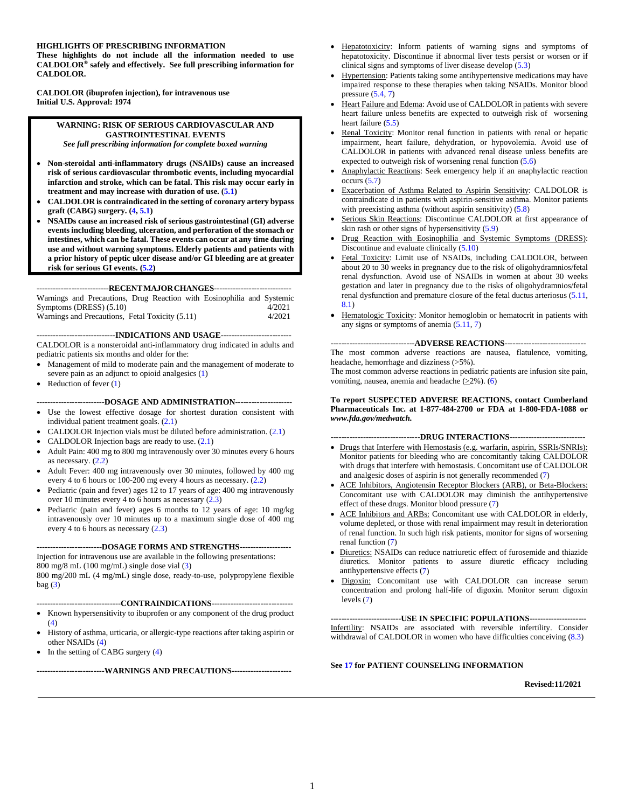#### **HIGHLIGHTS OF PRESCRIBING INFORMATION**

**These highlights do not include all the information needed to use CALDOLOR® safely and effectively. See full prescribing information for CALDOLOR.** 

**CALDOLOR (ibuprofen injection), for intravenous use Initial U.S. Approval: 1974**

> **WARNING: RISK OF SERIOUS CARDIOVASCULAR AND GASTROINTESTINAL EVENTS** *See full prescribing information for complete boxed warning*

- **Non-steroidal anti-inflammatory drugs (NSAIDs) cause an increased risk of serious cardiovascular thrombotic events, including myocardial infarction and stroke, which can be fatal. This risk may occur early in treatment and may increase with duration of use. [\(5.1\)](#page-3-0)**
- **CALDOLOR is contraindicated in the setting of coronary artery bypass graft (CABG) surgery. [\(4,](#page-3-1) [5.1\)](#page-3-0)**
- **NSAIDs cause an increased risk of serious gastrointestinal (GI) adverse events including bleeding, ulceration, and perforation of the stomach or intestines, which can be fatal. These events can occur at any time during use and without warning symptoms. Elderly patients and patients with a prior history of peptic ulcer disease and/or GI bleeding are at greater risk for serious GI events. [\(5.2\)](#page-4-0)**

**---------------------------RECENTMAJORCHANGES-----------------------------**

| Warnings and Precautions, Drug Reaction with Eosinophilia and Systemic |        |
|------------------------------------------------------------------------|--------|
| Symptoms (DRESS) (5.10)                                                | 4/2021 |
| Warnings and Precautions, Fetal Toxicity (5.11)                        | 4/2021 |

#### **-----------------------------INDICATIONS AND USAGE--------------------------**

CALDOLOR is a nonsteroidal anti-inflammatory drug indicated in adults and pediatric patients six months and older for the:

- Management of mild to moderate pain and the management of moderate to severe pain as an adjunct to opioid analgesics [\(1\)](#page-2-0)
- Reduction of fever  $(1)$

#### **-------------------------DOSAGE AND ADMINISTRATION---------------------**

- Use the lowest effective dosage for shortest duration consistent with individual patient treatment goals. (2.1)
- CALDOLOR Injection vials must be diluted before administration. (2.1)
- CALDOLOR Injection bags are ready to use.  $(2.1)$
- Adult Pain: 400 mg to 800 mg intravenously over 30 minutes every 6 hours as necessary. [\(2.2\)](#page-2-1)
- Adult Fever: 400 mg intravenously over 30 minutes, followed by 400 mg every 4 to 6 hours or 100-200 mg every 4 hours as necessary. [\(2.2\)](#page-2-1)
- Pediatric (pain and fever) ages 12 to 17 years of age: 400 mg intravenously over 10 minutes every 4 to 6 hours as necessary [\(2.3\)](#page-3-2)
- Pediatric (pain and fever) ages 6 months to 12 years of age: 10 mg/kg intravenously over 10 minutes up to a maximum single dose of 400 mg every 4 to 6 hours as necessary  $(2.3)$

#### **------------------------DOSAGE FORMS AND STRENGTHS-------------------**

Injection for intravenous use are available in the following presentations:  $800 \text{ mg/s}$  mL (100 mg/mL) single dose vial [\(3\)](#page-3-3)

800 mg/200 mL (4 mg/mL) single dose, ready-to-use, polypropylene flexible  $bag(3)$  $bag(3)$ 

**-------------------------------CONTRAINDICATIONS------------------------------**

- Known hypersensitivity to ibuprofen or any component of the drug product [\(4\)](#page-3-1)
- History of asthma, urticaria, or allergic-type reactions after taking aspirin or other NSAIDs [\(4\)](#page-3-1)
- In the setting of CABG surgery [\(4\)](#page-3-1)

**-------------------------WARNINGS AND PRECAUTIONS----------------------**

- Hepatotoxicity: Inform patients of warning signs and symptoms of hepatotoxicity. Discontinue if abnormal liver tests persist or worsen or if clinical signs and symptoms of liver disease develop [\(5.3\)](#page-4-1)
- Hypertension: Patients taking some antihypertensive medications may have impaired response to these therapies when taking NSAIDs. Monitor blood pressure  $(5.4, 7)$  $(5.4, 7)$  $(5.4, 7)$
- Heart Failure and Edema: Avoid use of CALDOLOR in patients with severe heart failure unless benefits are expected to outweigh risk of worsening heart failure [\(5.5\)](#page-5-0)
- Renal Toxicity: Monitor renal function in patients with renal or hepatic impairment, heart failure, dehydration, or hypovolemia. Avoid use of CALDOLOR in patients with advanced renal disease unless benefits are expected to outweigh risk of worsening renal function [\(5.6\)](#page-5-1)
- Anaphylactic Reactions: Seek emergency help if an anaphylactic reaction occurs [\(5.7\)](#page-5-2)
- Exacerbation of Asthma Related to Aspirin Sensitivity: CALDOLOR is contraindicate d in patients with aspirin-sensitive asthma. Monitor patients with preexisting asthma (without aspirin sensitivity) [\(5.8\)](#page-5-3)
- Serious Skin Reactions: Discontinue CALDOLOR at first appearance of skin rash or other signs of hypersensitivity [\(5.9\)](#page-5-4)
- Drug Reaction with Eosinophilia and Systemic Symptoms (DRESS): Discontinue and evaluate clinically (5.10)
- Fetal Toxicity: Limit use of NSAIDs, including CALDOLOR, between about 20 to 30 weeks in pregnancy due to the risk of oligohydramnios/fetal renal dysfunction. Avoid use of NSAIDs in women at about 30 weeks gestation and later in pregnancy due to the risks of oligohydramnios/fetal renal dysfunction and premature closure of the fetal ductus arteriosus (5.11, 8.1)
- Hematologic Toxicity: Monitor hemoglobin or hematocrit in patients with any signs or symptoms of anemia [\(5.11,](#page-6-0) [7\)](#page-8-0)

**-------------------------------ADVERSE REACTIONS------------------------------** The most common adverse reactions are nausea, flatulence, vomiting, headache, hemorrhage and dizziness (>5%).

The most common adverse reactions in pediatric patients are infusion site pain, vomiting, nausea, anemia and headache  $(≥2%)$ . [\(6\)](#page-7-0)

#### **To report SUSPECTED ADVERSE REACTIONS, contact Cumberland Pharmaceuticals Inc. at 1-877-484-2700 or FDA at 1-800-FDA-1088 or**  *www.fda.gov/medwatch.*

#### **---------------------------------DRUG INTERACTIONS----------------------------**

- Drugs that Interfere with Hemostasis (e.g. warfarin, aspirin, SSRIs/SNRIs): Monitor patients for bleeding who are concomitantly taking CALDOLOR with drugs that interfere with hemostasis. Concomitant use of CALDOLOR and analgesic doses of aspirin is not generally recommended [\(7\)](#page-8-0)
- ACE Inhibitors, Angiotensin Receptor Blockers (ARB), or Beta-Blockers: Concomitant use with CALDOLOR may diminish the antihypertensive effect of these drugs. Monitor blood pressure [\(7\)](#page-8-0)
- ACE Inhibitors and ARBs: Concomitant use with CALDOLOR in elderly, volume depleted, or those with renal impairment may result in deterioration of renal function. In such high risk patients, monitor for signs of worsening renal function [\(7\)](#page-8-0)
- Diuretics: NSAIDs can reduce natriuretic effect of furosemide and thiazide diuretics. Monitor patients to assure diuretic efficacy including antihypertensive effects [\(7\)](#page-8-0)
- Digoxin: Concomitant use with CALDOLOR can increase serum concentration and prolong half-life of digoxin. Monitor serum digoxin levels [\(7\)](#page-8-0)

**--------------------------USE IN SPECIFIC POPULATIONS---------------------** Infertility: NSAIDs are associated with reversible infertility. Consider withdrawal of CALDOLOR in women who have difficulties conceiving  $(8.3)$ 

#### **Se[e 17](#page-15-0) for PATIENT COUNSELING INFORMATION**

 **Revised:11/2021**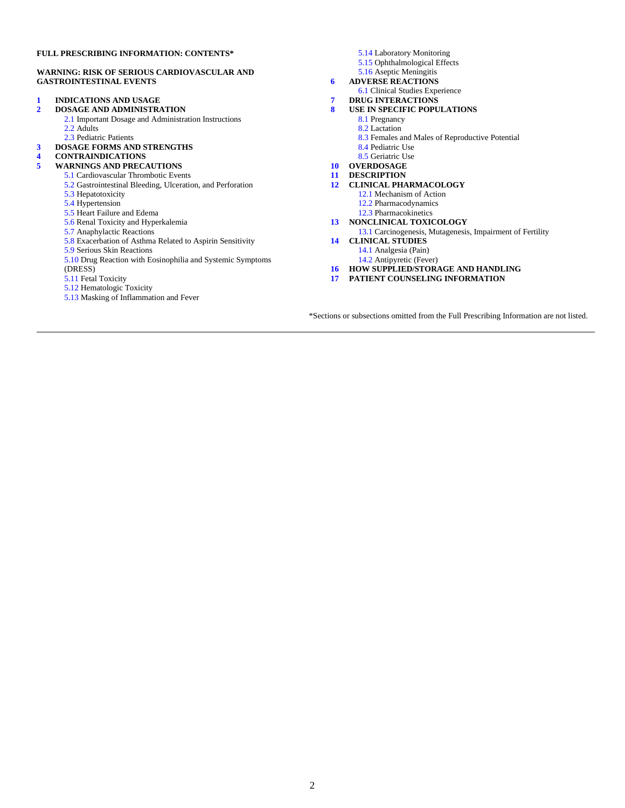#### **FULL PRESCRIBING INFORMATION: CONTENTS\***

#### **WARNING: RISK OF SERIOUS CARDIOVASCULAR AND GASTROINTESTINAL EVENTS**

- **[1](#page-2-0) INDICATIONS AND USAGE**
- **[2](#page-2-2) DOSAGE AND ADMINISTRATION**
	- [2.1](#page-2-3) Important Dosage and Administration Instructions [2.2](#page-2-1) Adults
	- [2.3](#page-3-2) Pediatric Patients
- **[3](#page-3-3) DOSAGE FORMS AND STRENGTHS**
- **[4](#page-3-1) CONTRAINDICATIONS**
- **[5](#page-3-4) WARNINGS AND PRECAUTIONS**
	- [5.1 C](#page-3-0)ardiovascular Thrombotic Events
	- [5.2](#page-4-0) Gastrointestinal Bleeding, Ulceration, and Perforation
	- [5.3](#page-4-1) Hepatotoxicity
	- [5.4](#page-4-2) Hypertension
	- [5.5](#page-5-0) Heart Failure and Edema
	- [5.6](#page-5-1) Renal Toxicity and Hyperkalemia
	- [5.7](#page-5-2) Anaphylactic Reactions
	- [5.8](#page-5-3) Exacerbation of Asthma Related to Aspirin Sensitivity
	- [5.9](#page-5-4) Serious Skin Reactions
	- [5.10](#page-6-0) Drug Reaction with Eosinophilia and Systemic Symptoms
	- (DRESS)
	- [5.11](#page-6-0) Fetal Toxicity
	- 5.12 Hematologic Toxicity
	- [5.13](#page-6-1) Masking of Inflammation and Fever
- [5.14](#page-6-2) Laboratory Monitoring
- [5.15](#page-6-3) Ophthalmological Effects
- [5.16](#page-6-4) Aseptic Meningitis
- **[6](#page-7-0) ADVERSE REACTIONS**
	- [6.1](#page-7-1) Clinical Studies Experience
- **[7](#page-8-0) DRUG INTERACTIONS**
- **[8](#page-9-0) USE IN SPECIFIC POPULATIONS**
	- [8.1](#page-10-0) Pregnancy
	- [8.2 L](#page-11-1)actation
		- [8.3 F](#page-11-0)emales and Males of Reproductive Potential
	- [8.4](#page-11-2) Pediatric Use
	- [8.5](#page-11-3) Geriatric Use
	-
- **[10](#page-12-0) OVERDOSAGE [11](#page-12-1) DESCRIPTION**
- **[12](#page-12-2) CLINICAL PHARMACOLOGY**
	- [12.1](#page-12-3) Mechanism of Action
	- [12.](#page-12-4)2 Pharmacodynamics
	- [12.3](#page-13-0) Pharmacokinetics
- **[13](#page-13-1) NONCLINICAL TOXICOLOGY**
	- [13.1](#page-14-0) Carcinogenesis, Mutagenesis, Impairment of Fertility
- **[14](#page-14-1) CLINICAL STUDIES**
	- [14.1](#page-14-2) Analgesia (Pain)
		- [14.2](#page-14-3) Antipyretic (Fever)
- **[16](#page-15-1) HOW SUPPLIED/STORAGE AND HANDLING**
- **[17](#page-15-0) PATIENT COUNSELING INFORMATION**

\*Sections or subsections omitted from the Full Prescribing Information are not listed.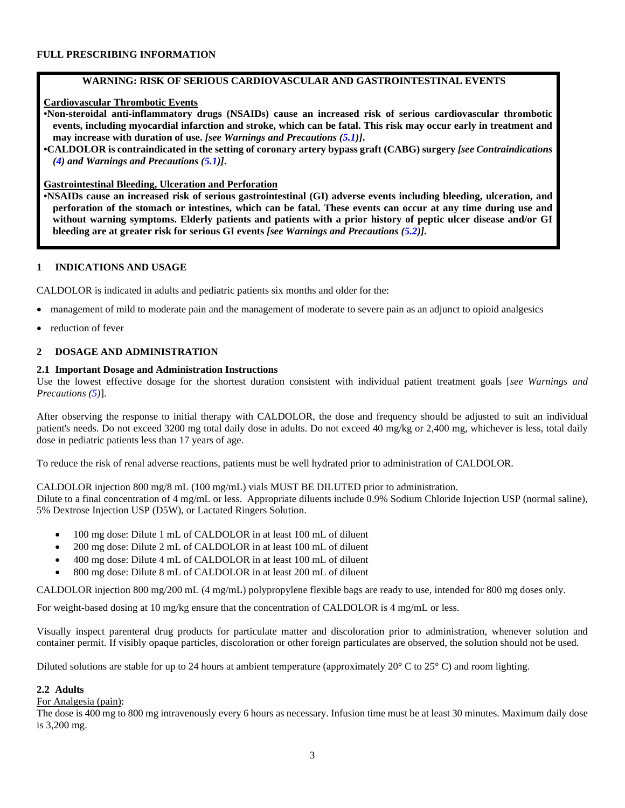# **WARNING: RISK OF SERIOUS CARDIOVASCULAR AND GASTROINTESTINAL EVENTS**

# *U***Cardiovascular Thrombotic Events**

**•Non-steroidal anti-inflammatory drugs (NSAIDs) cause an increased risk of serious cardiovascular thrombotic events, including myocardial infarction and stroke, which can be fatal. This risk may occur early in treatment and may increase with duration of use.** *[see Warnings and Precautions [\(5.1\)](#page-3-0)]***.**

**•CALDOLOR is contraindicated in the setting of coronary artery bypass graft (CABG) surgery** *[see Contraindications [\(4\)](#page-3-1) and Warnings and Precautions [\(5.1\)](#page-3-0)]***.**

# *U***Gastrointestinal Bleeding, Ulceration and Perforation**

**•NSAIDs cause an increased risk of serious gastrointestinal (GI) adverse events including bleeding, ulceration, and perforation of the stomach or intestines, which can be fatal. These events can occur at any time during use and without warning symptoms. Elderly patients and patients with a prior history of peptic ulcer disease and/or GI bleeding are at greater risk for serious GI events** *[see Warnings and Precautions [\(5.2\)](#page-4-0)]***.**

# <span id="page-2-0"></span>**1 INDICATIONS AND USAGE**

CALDOLOR is indicated in adults and pediatric patients six months and older for the:

- management of mild to moderate pain and the management of moderate to severe pain as an adjunct to opioid analgesics
- reduction of fever

# <span id="page-2-2"></span>**2 DOSAGE AND ADMINISTRATION**

# <span id="page-2-3"></span>**2.1 Important Dosage and Administration Instructions**

Use the lowest effective dosage for the shortest duration consistent with individual patient treatment goals [*see Warnings and Precautions [\(5\)](#page-3-4)*].

After observing the response to initial therapy with CALDOLOR, the dose and frequency should be adjusted to suit an individual patient's needs. Do not exceed 3200 mg total daily dose in adults. Do not exceed 40 mg/kg or 2,400 mg, whichever is less, total daily dose in pediatric patients less than 17 years of age.

To reduce the risk of renal adverse reactions, patients must be well hydrated prior to administration of CALDOLOR.

CALDOLOR injection 800 mg/8 mL (100 mg/mL) vials MUST BE DILUTED prior to administration. Dilute to a final concentration of 4 mg/mL or less. Appropriate diluents include 0.9% Sodium Chloride Injection USP (normal saline), 5% Dextrose Injection USP (D5W), or Lactated Ringers Solution.

- 100 mg dose: Dilute 1 mL of CALDOLOR in at least 100 mL of diluent
- 200 mg dose: Dilute 2 mL of CALDOLOR in at least 100 mL of diluent
- 400 mg dose: Dilute 4 mL of CALDOLOR in at least 100 mL of diluent
- 800 mg dose: Dilute 8 mL of CALDOLOR in at least 200 mL of diluent

CALDOLOR injection 800 mg/200 mL (4 mg/mL) polypropylene flexible bags are ready to use, intended for 800 mg doses only.

For weight-based dosing at 10 mg/kg ensure that the concentration of CALDOLOR is 4 mg/mL or less.

Visually inspect parenteral drug products for particulate matter and discoloration prior to administration, whenever solution and container permit. If visibly opaque particles, discoloration or other foreign particulates are observed, the solution should not be used.

Diluted solutions are stable for up to 24 hours at ambient temperature (approximately  $20^{\circ}$  C to  $25^{\circ}$  C) and room lighting.

# <span id="page-2-1"></span>**2.2 Adults**

For Analgesia (pain):

The dose is 400 mg to 800 mg intravenously every 6 hours as necessary. Infusion time must be at least 30 minutes. Maximum daily dose is 3,200 mg.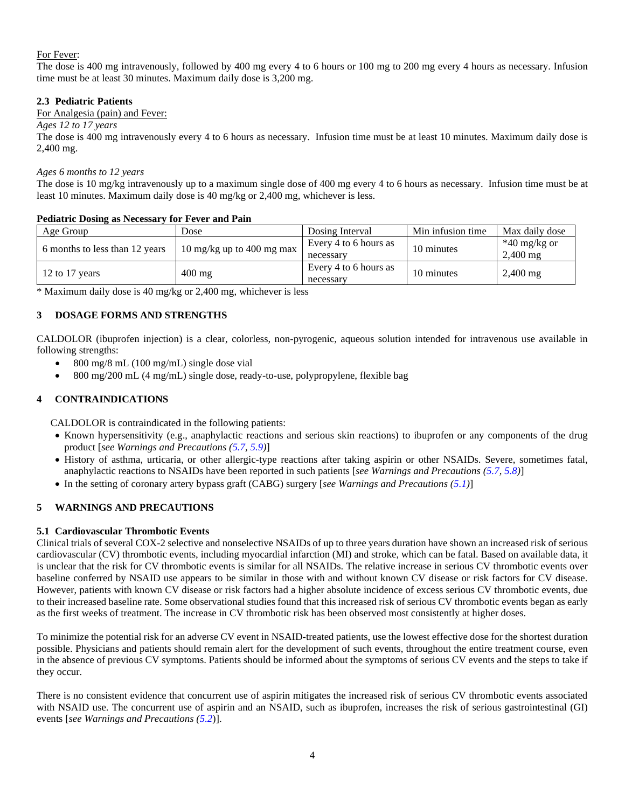# For Fever:

The dose is 400 mg intravenously, followed by 400 mg every 4 to 6 hours or 100 mg to 200 mg every 4 hours as necessary. Infusion time must be at least 30 minutes. Maximum daily dose is 3,200 mg.

# <span id="page-3-2"></span>**2.3 Pediatric Patients**

# For Analgesia (pain) and Fever:

*Ages 12 to 17 years* 

The dose is 400 mg intravenously every 4 to 6 hours as necessary. Infusion time must be at least 10 minutes. Maximum daily dose is 2,400 mg.

# *Ages 6 months to 12 years*

The dose is 10 mg/kg intravenously up to a maximum single dose of 400 mg every 4 to 6 hours as necessary. Infusion time must be at least 10 minutes. Maximum daily dose is 40 mg/kg or 2,400 mg, whichever is less.

# **Pediatric Dosing as Necessary for Fever and Pain**

| Age Group                      | Dose.                     | Dosing Interval       | Min infusion time | Max daily dose        |  |
|--------------------------------|---------------------------|-----------------------|-------------------|-----------------------|--|
| 6 months to less than 12 years | 10 mg/kg up to 400 mg max | Every 4 to 6 hours as | 10 minutes        | $*40$ mg/kg or        |  |
|                                |                           | necessary             |                   | $2,400 \,\mathrm{mg}$ |  |
| 12 to 17 years                 |                           | Every 4 to 6 hours as | 10 minutes        |                       |  |
|                                | $400 \text{ mg}$          | necessary             |                   | $2,400$ mg            |  |

<span id="page-3-3"></span>\* Maximum daily dose is 40 mg/kg or 2,400 mg, whichever is less

# **3 DOSAGE FORMS AND STRENGTHS**

CALDOLOR (ibuprofen injection) is a clear, colorless, non-pyrogenic, aqueous solution intended for intravenous use available in following strengths:

- 800 mg/8 mL (100 mg/mL) single dose vial
- 800 mg/200 mL (4 mg/mL) single dose, ready-to-use, polypropylene, flexible bag

# <span id="page-3-1"></span>**4 CONTRAINDICATIONS**

CALDOLOR is contraindicated in the following patients:

- Known hypersensitivity (e.g., anaphylactic reactions and serious skin reactions) to ibuprofen or any components of the drug product [*see Warnings and Precautions [\(5.7,](#page-5-2) [5.9\)](#page-5-4)*]
- History of asthma, urticaria, or other allergic-type reactions after taking aspirin or other NSAIDs. Severe, sometimes fatal, anaphylactic reactions to NSAIDs have been reported in such patients [*see Warnings and Precautions [\(5.7,](#page-5-2) [5.8\)](#page-5-3)*]
- In the setting of coronary artery bypass graft (CABG) surgery [*see Warnings and Precautions [\(5.1\)](#page-3-0)*]

# <span id="page-3-4"></span>**5 WARNINGS AND PRECAUTIONS**

# <span id="page-3-0"></span>**5.1 Cardiovascular Thrombotic Events**

Clinical trials of several COX-2 selective and nonselective NSAIDs of up to three years duration have shown an increased risk of serious cardiovascular (CV) thrombotic events, including myocardial infarction (MI) and stroke, which can be fatal. Based on available data, it is unclear that the risk for CV thrombotic events is similar for all NSAIDs. The relative increase in serious CV thrombotic events over baseline conferred by NSAID use appears to be similar in those with and without known CV disease or risk factors for CV disease. However, patients with known CV disease or risk factors had a higher absolute incidence of excess serious CV thrombotic events, due to their increased baseline rate. Some observational studies found that this increased risk of serious CV thrombotic events began as early as the first weeks of treatment. The increase in CV thrombotic risk has been observed most consistently at higher doses.

To minimize the potential risk for an adverse CV event in NSAID-treated patients, use the lowest effective dose for the shortest duration possible. Physicians and patients should remain alert for the development of such events, throughout the entire treatment course, even in the absence of previous CV symptoms. Patients should be informed about the symptoms of serious CV events and the steps to take if they occur.

There is no consistent evidence that concurrent use of aspirin mitigates the increased risk of serious CV thrombotic events associated with NSAID use. The concurrent use of aspirin and an NSAID, such as ibuprofen, increases the risk of serious gastrointestinal (GI) events [*see Warnings and Precautions [\(5.2](#page-4-0)*)].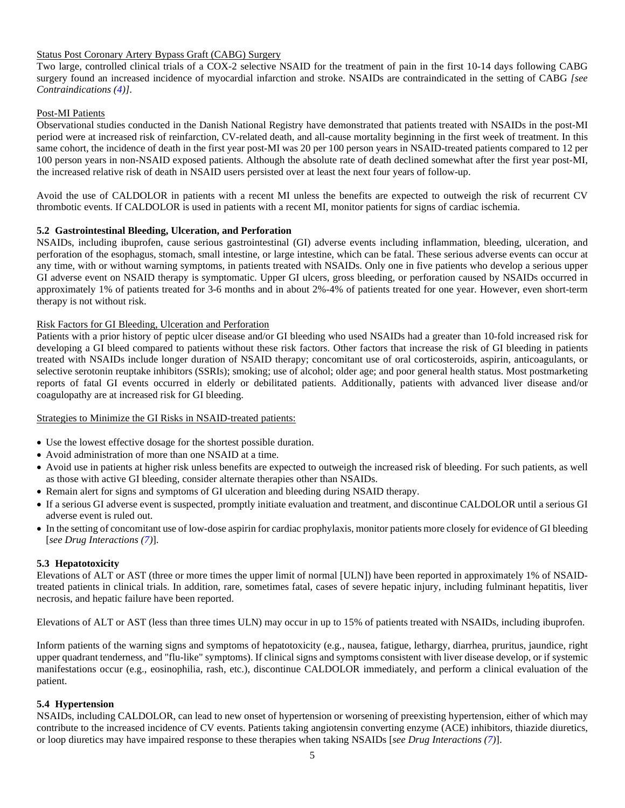# Status Post Coronary Artery Bypass Graft (CABG) Surgery

Two large, controlled clinical trials of a COX-2 selective NSAID for the treatment of pain in the first 10-14 days following CABG surgery found an increased incidence of myocardial infarction and stroke. NSAIDs are contraindicated in the setting of CABG *[see Contraindications [\(4\)](#page-3-1)]*.

# Post-MI Patients

Observational studies conducted in the Danish National Registry have demonstrated that patients treated with NSAIDs in the post-MI period were at increased risk of reinfarction, CV-related death, and all-cause mortality beginning in the first week of treatment. In this same cohort, the incidence of death in the first year post-MI was 20 per 100 person years in NSAID-treated patients compared to 12 per 100 person years in non-NSAID exposed patients. Although the absolute rate of death declined somewhat after the first year post-MI, the increased relative risk of death in NSAID users persisted over at least the next four years of follow-up.

Avoid the use of CALDOLOR in patients with a recent MI unless the benefits are expected to outweigh the risk of recurrent CV thrombotic events. If CALDOLOR is used in patients with a recent MI, monitor patients for signs of cardiac ischemia.

# <span id="page-4-0"></span>**5.2 Gastrointestinal Bleeding, Ulceration, and Perforation**

NSAIDs, including ibuprofen, cause serious gastrointestinal (GI) adverse events including inflammation, bleeding, ulceration, and perforation of the esophagus, stomach, small intestine, or large intestine, which can be fatal. These serious adverse events can occur at any time, with or without warning symptoms, in patients treated with NSAIDs. Only one in five patients who develop a serious upper GI adverse event on NSAID therapy is symptomatic. Upper GI ulcers, gross bleeding, or perforation caused by NSAIDs occurred in approximately 1% of patients treated for 3-6 months and in about 2%-4% of patients treated for one year. However, even short-term therapy is not without risk.

### Risk Factors for GI Bleeding, Ulceration and Perforation

Patients with a prior history of peptic ulcer disease and/or GI bleeding who used NSAIDs had a greater than 10-fold increased risk for developing a GI bleed compared to patients without these risk factors. Other factors that increase the risk of GI bleeding in patients treated with NSAIDs include longer duration of NSAID therapy; concomitant use of oral corticosteroids, aspirin, anticoagulants, or selective serotonin reuptake inhibitors (SSRIs); smoking; use of alcohol; older age; and poor general health status. Most postmarketing reports of fatal GI events occurred in elderly or debilitated patients. Additionally, patients with advanced liver disease and/or coagulopathy are at increased risk for GI bleeding.

# Strategies to Minimize the GI Risks in NSAID-treated patients:

- Use the lowest effective dosage for the shortest possible duration.
- Avoid administration of more than one NSAID at a time.
- Avoid use in patients at higher risk unless benefits are expected to outweigh the increased risk of bleeding. For such patients, as well as those with active GI bleeding, consider alternate therapies other than NSAIDs.
- Remain alert for signs and symptoms of GI ulceration and bleeding during NSAID therapy.
- If a serious GI adverse event is suspected, promptly initiate evaluation and treatment, and discontinue CALDOLOR until a serious GI adverse event is ruled out.
- In the setting of concomitant use of low-dose aspirin for cardiac prophylaxis, monitor patients more closely for evidence of GI bleeding [*see Drug Interactions [\(7\)](#page-8-0)*].

# <span id="page-4-1"></span>**5.3 Hepatotoxicity**

Elevations of ALT or AST (three or more times the upper limit of normal [ULN]) have been reported in approximately 1% of NSAIDtreated patients in clinical trials. In addition, rare, sometimes fatal, cases of severe hepatic injury, including fulminant hepatitis, liver necrosis, and hepatic failure have been reported.

Elevations of ALT or AST (less than three times ULN) may occur in up to 15% of patients treated with NSAIDs, including ibuprofen.

Inform patients of the warning signs and symptoms of hepatotoxicity (e.g., nausea, fatigue, lethargy, diarrhea, pruritus, jaundice, right upper quadrant tenderness, and "flu-like" symptoms). If clinical signs and symptoms consistent with liver disease develop, or if systemic manifestations occur (e.g., eosinophilia, rash, etc.), discontinue CALDOLOR immediately, and perform a clinical evaluation of the patient.

# <span id="page-4-2"></span>**5.4 Hypertension**

NSAIDs, including CALDOLOR, can lead to new onset of hypertension or worsening of preexisting hypertension, either of which may contribute to the increased incidence of CV events. Patients taking angiotensin converting enzyme (ACE) inhibitors, thiazide diuretics, or loop diuretics may have impaired response to these therapies when taking NSAIDs [*see Drug Interactions [\(7\)](#page-8-0)*].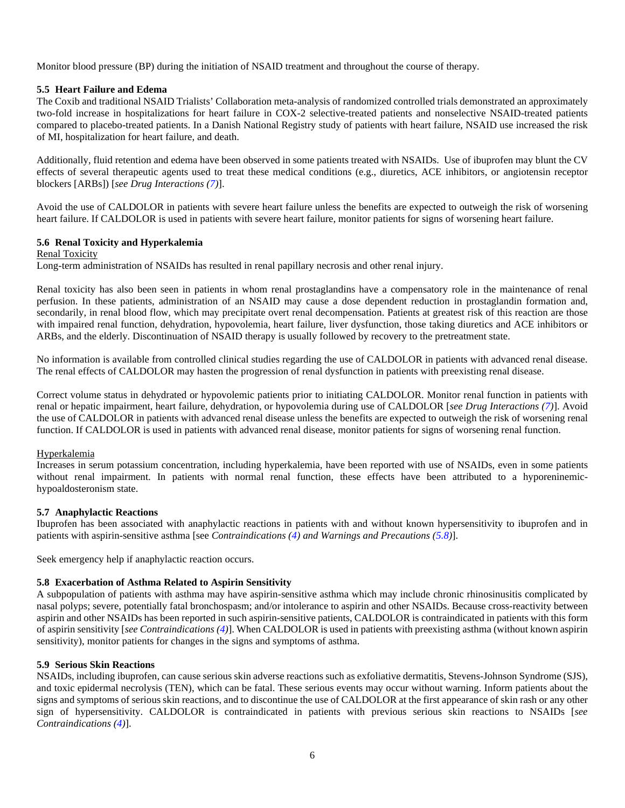Monitor blood pressure (BP) during the initiation of NSAID treatment and throughout the course of therapy.

# <span id="page-5-0"></span>**5.5 Heart Failure and Edema**

The Coxib and traditional NSAID Trialists' Collaboration meta-analysis of randomized controlled trials demonstrated an approximately two-fold increase in hospitalizations for heart failure in COX-2 selective-treated patients and nonselective NSAID-treated patients compared to placebo-treated patients. In a Danish National Registry study of patients with heart failure, NSAID use increased the risk of MI, hospitalization for heart failure, and death.

Additionally, fluid retention and edema have been observed in some patients treated with NSAIDs. Use of ibuprofen may blunt the CV effects of several therapeutic agents used to treat these medical conditions (e.g., diuretics, ACE inhibitors, or angiotensin receptor blockers [ARBs]) [*see Drug Interactions [\(7\)](#page-8-0)*].

Avoid the use of CALDOLOR in patients with severe heart failure unless the benefits are expected to outweigh the risk of worsening heart failure. If CALDOLOR is used in patients with severe heart failure, monitor patients for signs of worsening heart failure.

# <span id="page-5-1"></span>**5.6 Renal Toxicity and Hyperkalemia**

Renal Toxicity

Long-term administration of NSAIDs has resulted in renal papillary necrosis and other renal injury.

Renal toxicity has also been seen in patients in whom renal prostaglandins have a compensatory role in the maintenance of renal perfusion. In these patients, administration of an NSAID may cause a dose dependent reduction in prostaglandin formation and, secondarily, in renal blood flow, which may precipitate overt renal decompensation. Patients at greatest risk of this reaction are those with impaired renal function, dehydration, hypovolemia, heart failure, liver dysfunction, those taking diuretics and ACE inhibitors or ARBs, and the elderly. Discontinuation of NSAID therapy is usually followed by recovery to the pretreatment state.

No information is available from controlled clinical studies regarding the use of CALDOLOR in patients with advanced renal disease. The renal effects of CALDOLOR may hasten the progression of renal dysfunction in patients with preexisting renal disease.

Correct volume status in dehydrated or hypovolemic patients prior to initiating CALDOLOR. Monitor renal function in patients with renal or hepatic impairment, heart failure, dehydration, or hypovolemia during use of CALDOLOR [*see Drug Interactions [\(7\)](#page-8-0)*]. Avoid the use of CALDOLOR in patients with advanced renal disease unless the benefits are expected to outweigh the risk of worsening renal function. If CALDOLOR is used in patients with advanced renal disease, monitor patients for signs of worsening renal function.

# Hyperkalemia

Increases in serum potassium concentration, including hyperkalemia, have been reported with use of NSAIDs, even in some patients without renal impairment. In patients with normal renal function, these effects have been attributed to a hyporeninemichypoaldosteronism state.

# <span id="page-5-2"></span>**5.7 Anaphylactic Reactions**

Ibuprofen has been associated with anaphylactic reactions in patients with and without known hypersensitivity to ibuprofen and in patients with aspirin-sensitive asthma [see *Contraindications [\(4\)](#page-3-1) and Warnings and Precautions [\(5.8\)](#page-5-3)*].

Seek emergency help if anaphylactic reaction occurs.

# <span id="page-5-3"></span>**5.8 Exacerbation of Asthma Related to Aspirin Sensitivity**

A subpopulation of patients with asthma may have aspirin-sensitive asthma which may include chronic rhinosinusitis complicated by nasal polyps; severe, potentially fatal bronchospasm; and/or intolerance to aspirin and other NSAIDs. Because cross-reactivity between aspirin and other NSAIDs has been reported in such aspirin-sensitive patients, CALDOLOR is contraindicated in patients with this form of aspirin sensitivity [*see Contraindications [\(4\)](#page-3-1)*]. When CALDOLOR is used in patients with preexisting asthma (without known aspirin sensitivity), monitor patients for changes in the signs and symptoms of asthma.

# <span id="page-5-4"></span>**5.9 Serious Skin Reactions**

NSAIDs, including ibuprofen, can cause serious skin adverse reactions such as exfoliative dermatitis, Stevens-Johnson Syndrome (SJS), and toxic epidermal necrolysis (TEN), which can be fatal. These serious events may occur without warning. Inform patients about the signs and symptoms of serious skin reactions, and to discontinue the use of CALDOLOR at the first appearance of skin rash or any other sign of hypersensitivity. CALDOLOR is contraindicated in patients with previous serious skin reactions to NSAIDs [*see Contraindications [\(4\)](#page-3-1)*].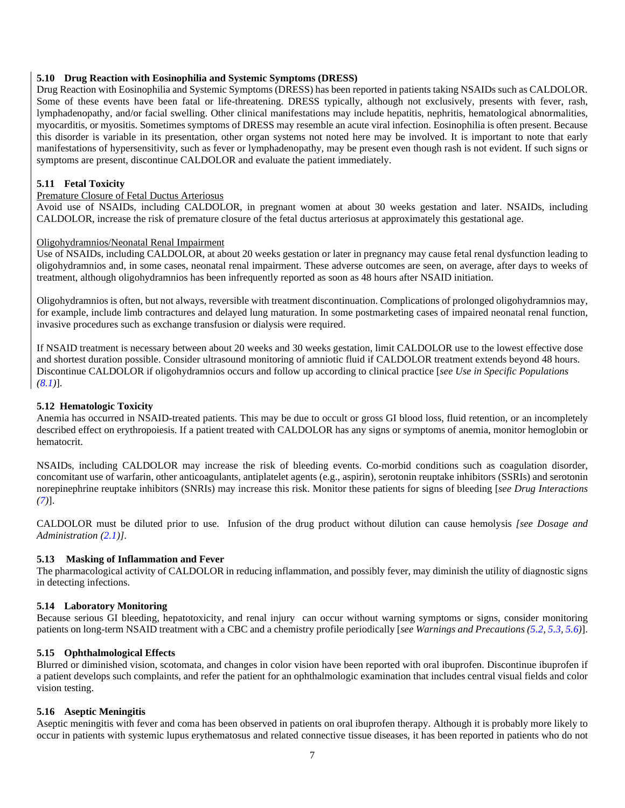### <span id="page-6-0"></span>**5.10 Drug Reaction with Eosinophilia and Systemic Symptoms (DRESS)**

Drug Reaction with Eosinophilia and Systemic Symptoms (DRESS) has been reported in patients taking NSAIDs such as CALDOLOR. Some of these events have been fatal or life-threatening. DRESS typically, although not exclusively, presents with fever, rash, lymphadenopathy, and/or facial swelling. Other clinical manifestations may include hepatitis, nephritis, hematological abnormalities, myocarditis, or myositis. Sometimes symptoms of DRESS may resemble an acute viral infection. Eosinophilia is often present. Because this disorder is variable in its presentation, other organ systems not noted here may be involved. It is important to note that early manifestations of hypersensitivity, such as fever or lymphadenopathy, may be present even though rash is not evident. If such signs or symptoms are present, discontinue CALDOLOR and evaluate the patient immediately.

# **5.11 Fetal Toxicity**

# Premature Closure of Fetal Ductus Arteriosus

Avoid use of NSAIDs, including CALDOLOR, in pregnant women at about 30 weeks gestation and later. NSAIDs, including CALDOLOR, increase the risk of premature closure of the fetal ductus arteriosus at approximately this gestational age.

#### Oligohydramnios/Neonatal Renal Impairment

Use of NSAIDs, including CALDOLOR, at about 20 weeks gestation or later in pregnancy may cause fetal renal dysfunction leading to oligohydramnios and, in some cases, neonatal renal impairment. These adverse outcomes are seen, on average, after days to weeks of treatment, although oligohydramnios has been infrequently reported as soon as 48 hours after NSAID initiation.

Oligohydramnios is often, but not always, reversible with treatment discontinuation. Complications of prolonged oligohydramnios may, for example, include limb contractures and delayed lung maturation. In some postmarketing cases of impaired neonatal renal function, invasive procedures such as exchange transfusion or dialysis were required.

If NSAID treatment is necessary between about 20 weeks and 30 weeks gestation, limit CALDOLOR use to the lowest effective dose and shortest duration possible. Consider ultrasound monitoring of amniotic fluid if CALDOLOR treatment extends beyond 48 hours. Discontinue CALDOLOR if oligohydramnios occurs and follow up according to clinical practice [*see Use in Specific Populations (8.1)*].

#### **5.12 Hematologic Toxicity**

Anemia has occurred in NSAID-treated patients. This may be due to occult or gross GI blood loss, fluid retention, or an incompletely described effect on erythropoiesis. If a patient treated with CALDOLOR has any signs or symptoms of anemia, monitor hemoglobin or hematocrit.

NSAIDs, including CALDOLOR may increase the risk of bleeding events. Co-morbid conditions such as coagulation disorder, concomitant use of warfarin, other anticoagulants, antiplatelet agents (e.g., aspirin), serotonin reuptake inhibitors (SSRIs) and serotonin norepinephrine reuptake inhibitors (SNRIs) may increase this risk. Monitor these patients for signs of bleeding [*see Drug Interactions [\(7\)](#page-8-0)*].

CALDOLOR must be diluted prior to use. Infusion of the drug product without dilution can cause hemolysis *[see Dosage and Administration [\(2.1\)](#page-2-2)]*.

#### <span id="page-6-1"></span>**5.13 Masking of Inflammation and Fever**

The pharmacological activity of CALDOLOR in reducing inflammation, and possibly fever, may diminish the utility of diagnostic signs in detecting infections.

#### <span id="page-6-2"></span>**5.14 Laboratory Monitoring**

Because serious GI bleeding, hepatotoxicity, and renal injury can occur without warning symptoms or signs, consider monitoring patients on long-term NSAID treatment with a CBC and a chemistry profile periodically [*see Warnings and Precautions [\(5.2,](#page-4-0) [5.3,](#page-4-1) [5.6\)](#page-5-1)*].

## <span id="page-6-3"></span>**5.15 Ophthalmological Effects**

Blurred or diminished vision, scotomata, and changes in color vision have been reported with oral ibuprofen. Discontinue ibuprofen if a patient develops such complaints, and refer the patient for an ophthalmologic examination that includes central visual fields and color vision testing.

# <span id="page-6-4"></span>**5.16 Aseptic Meningitis**

Aseptic meningitis with fever and coma has been observed in patients on oral ibuprofen therapy. Although it is probably more likely to occur in patients with systemic lupus erythematosus and related connective tissue diseases, it has been reported in patients who do not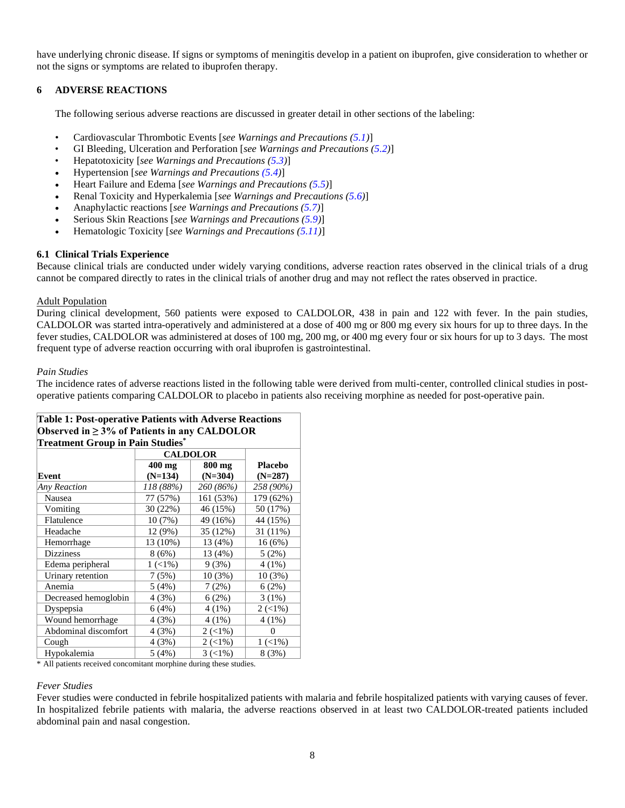have underlying chronic disease. If signs or symptoms of meningitis develop in a patient on ibuprofen, give consideration to whether or not the signs or symptoms are related to ibuprofen therapy.

# <span id="page-7-0"></span>**6 ADVERSE REACTIONS**

The following serious adverse reactions are discussed in greater detail in other sections of the labeling:

- Cardiovascular Thrombotic Events [*see Warnings and Precautions [\(5.1\)](#page-3-0)*]
- GI Bleeding, Ulceration and Perforation [*see Warnings and Precautions [\(5.2\)](#page-4-0)*]
- Hepatotoxicity [*see Warnings and Precautions [\(5.3\)](#page-4-1)*]
- Hypertension [*see Warnings and Precaution[s \(5.4\)](#page-4-2)*]
- Heart Failure and Edema [*see Warnings and Precautions [\(5.5\)](#page-5-0)*]
- Renal Toxicity and Hyperkalemia [*see Warnings and Precautions [\(5.6\)](#page-5-1)*]
- Anaphylactic reactions [*see Warnings and Precautions [\(5.7\)](#page-5-2)*]
- Serious Skin Reactions [*see Warnings and Precautions [\(5.9\)](#page-5-4)*]
- Hematologic Toxicity [*see Warnings and Precautions [\(5.11\)](#page-6-0)*]

### <span id="page-7-1"></span>**6.1 Clinical Trials Experience**

Because clinical trials are conducted under widely varying conditions, adverse reaction rates observed in the clinical trials of a drug cannot be compared directly to rates in the clinical trials of another drug and may not reflect the rates observed in practice.

#### Adult Population

During clinical development, 560 patients were exposed to CALDOLOR, 438 in pain and 122 with fever. In the pain studies, CALDOLOR was started intra-operatively and administered at a dose of 400 mg or 800 mg every six hours for up to three days. In the fever studies, CALDOLOR was administered at doses of 100 mg, 200 mg, or 400 mg every four or six hours for up to 3 days. The most frequent type of adverse reaction occurring with oral ibuprofen is gastrointestinal.

#### *Pain Studies*

The incidence rates of adverse reactions listed in the following table were derived from multi-center, controlled clinical studies in postoperative patients comparing CALDOLOR to placebo in patients also receiving morphine as needed for post-operative pain.

| <b>Table 1: Post-operative Patients with Adverse Reactions</b> |                                                   |                                |                |  |  |
|----------------------------------------------------------------|---------------------------------------------------|--------------------------------|----------------|--|--|
|                                                                | Observed in $\geq$ 3% of Patients in any CALDOLOR |                                |                |  |  |
| <b>Treatment Group in Pain Studies*</b>                        |                                                   |                                |                |  |  |
|                                                                | <b>CALDOLOR</b>                                   |                                |                |  |  |
|                                                                | 400 mg                                            | 800 mg                         | <b>Placebo</b> |  |  |
| Event                                                          | $(N=134)$                                         | $(N=304)$                      | $(N=287)$      |  |  |
| Any Reaction                                                   | 118 (88%)                                         | 260 (86%)                      | 258 (90%)      |  |  |
| Nausea                                                         | 77 (57%)                                          | 161 (53%)                      | 179 (62%)      |  |  |
| Vomiting                                                       | 30 (22%)                                          | 46 (15%)                       | 50 (17%)       |  |  |
| Flatulence                                                     | 10(7%)                                            | 49 (16%)                       | 44 (15%)       |  |  |
| Headache                                                       | 12 (9%)                                           | 35 (12%)                       | 31 (11%)       |  |  |
| Hemorrhage                                                     | 13 (10%)                                          | 13 (4%)                        | 16(6%)         |  |  |
| <b>Dizziness</b>                                               | 8(6%)                                             | 13 (4%)                        | 5(2%)          |  |  |
| Edema peripheral                                               | $1(1\%)$                                          | 9(3%)                          | $4(1\%)$       |  |  |
| Urinary retention                                              | 7(5%)                                             | 10(3%)                         | 10(3%)         |  |  |
| Anemia                                                         | 5(4%)                                             | 7(2%)                          | 6(2%)          |  |  |
| Decreased hemoglobin                                           | 4(3%)                                             | 6(2%)                          | 3(1%)          |  |  |
| Dyspepsia                                                      | 6(4%)                                             | $4(1\%)$                       | $2(1\%)$       |  |  |
| Wound hemorrhage                                               | 4 (3%)                                            | $4(1\%)$                       | $4(1\%)$       |  |  |
| Abdominal discomfort                                           | 4 (3%)                                            | $2 (< 1\%)$                    | 0              |  |  |
| Cough                                                          | 4(3%)                                             | $2(1\%)$                       | $1(1\%)$       |  |  |
| Hypokalemia                                                    | 5(4%)                                             | $3 \left( \frac{1}{6} \right)$ | 8(3%)          |  |  |

\* All patients received concomitant morphine during these studies.

#### *Fever Studies*

Fever studies were conducted in febrile hospitalized patients with malaria and febrile hospitalized patients with varying causes of fever. In hospitalized febrile patients with malaria, the adverse reactions observed in at least two CALDOLOR-treated patients included abdominal pain and nasal congestion.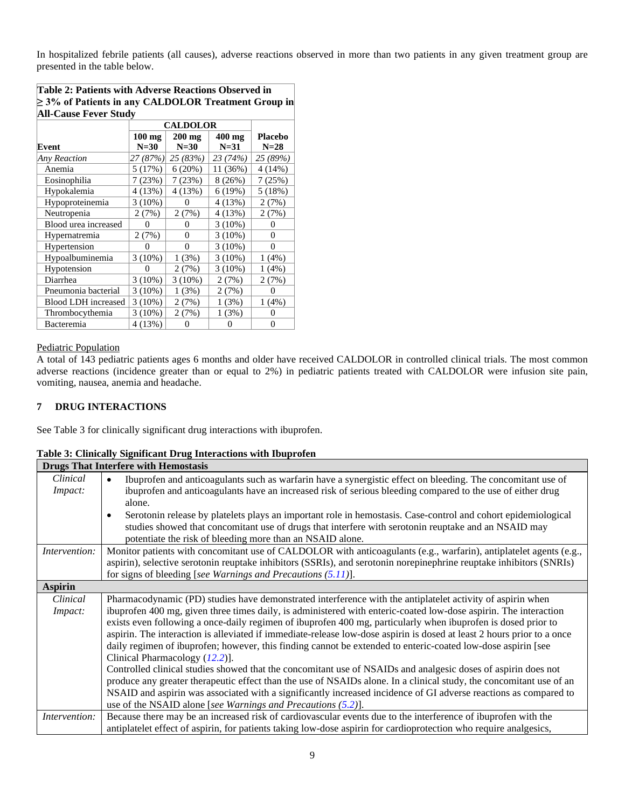In hospitalized febrile patients (all causes), adverse reactions observed in more than two patients in any given treatment group are presented in the table below.

| <b>All-Cause Fever Study</b> |                  |           |                   |                |
|------------------------------|------------------|-----------|-------------------|----------------|
|                              | <b>CALDOLOR</b>  |           |                   |                |
|                              | $100 \text{ mg}$ | $200$ mg  | $400$ mg          | <b>Placebo</b> |
| Event                        | $N=30$           | $N=30$    | $N=31$            | $N=28$         |
| Any Reaction                 | 27 (87%)         | 25 (83%)  | 23 (74%)          | 25 (89%)       |
| Anemia                       | 5 (17%)          | 6(20%)    | 11 (36%)          | 4 (14%)        |
| Eosinophilia                 | 7(23%)           | 7(23%)    | 8(26%)            | 7(25%)         |
| Hypokalemia                  | 4(13%)           | 4(13%)    | 6(19%)            | 5(18%)         |
| Hypoproteinemia              | $3(10\%)$        | O         | 4(13%)            | 2(7%)          |
| Neutropenia                  | 2(7%)            | 2(7%)     | 4 (13%)           | 2(7%)          |
| Blood urea increased         | 0                | 0         | $3(10\%)$         | 0              |
| Hypernatremia                | 2(7%)            | $\Omega$  | $3(10\%)$         | 0              |
| Hypertension                 | 0                | 0         | $3(10\%)$         | 0              |
| Hypoalbuminemia              | $3(10\%)$        | 1(3%)     | $3(10\%)$         | 1(4%)          |
| Hypotension                  | 0                | 2(7%)     | $3(10\%)$         | 1(4%)          |
| Diarrhea                     | $3(10\%)$        | $3(10\%)$ | 2(7%)             | 2(7%)          |
| Pneumonia bacterial          | $3(10\%)$        | 1(3%)     | 2(7%)             |                |
| Blood LDH increased          | $3(10\%)$        | 2(7%)     | 1(3%)             | $1(4\%)$       |
| Thrombocythemia              | $3(10\%)$        | 2(7%)     | 1(3%)             | 0              |
| Bacteremia                   | 4 (13%)          | $\theta$  | $\mathbf{\Omega}$ | 0              |

**Table 2: Patients with Adverse Reactions Observed in ≥ 3% of Patients in any CALDOLOR Treatment Group in** 

# Pediatric Population

A total of 143 pediatric patients ages 6 months and older have received CALDOLOR in controlled clinical trials. The most common adverse reactions (incidence greater than or equal to 2%) in pediatric patients treated with CALDOLOR were infusion site pain, vomiting, nausea, anemia and headache.

# <span id="page-8-0"></span>**7 DRUG INTERACTIONS**

See Table 3 for clinically significant drug interactions with ibuprofen.

<span id="page-8-1"></span>

|  |  | Table 3: Clinically Significant Drug Interactions with Ibuprofen |  |
|--|--|------------------------------------------------------------------|--|
|  |  |                                                                  |  |

|                     | <b>Drugs That Interfere with Hemostasis</b>                                                                                                                                                                                                                                                                  |
|---------------------|--------------------------------------------------------------------------------------------------------------------------------------------------------------------------------------------------------------------------------------------------------------------------------------------------------------|
| Clinical<br>Impact: | Ibuprofen and anticoagulants such as warfarin have a synergistic effect on bleeding. The concomitant use of<br>ibuprofen and anticoagulants have an increased risk of serious bleeding compared to the use of either drug<br>alone.                                                                          |
|                     | Serotonin release by platelets plays an important role in hemostasis. Case-control and cohort epidemiological<br>$\bullet$<br>studies showed that concomitant use of drugs that interfere with serotonin reuptake and an NSAID may<br>potentiate the risk of bleeding more than an NSAID alone.              |
| Intervention:       | Monitor patients with concomitant use of CALDOLOR with anticoagulants (e.g., warfarin), antiplatelet agents (e.g.,<br>aspirin), selective serotonin reuptake inhibitors (SSRIs), and serotonin norepinephrine reuptake inhibitors (SNRIs)<br>for signs of bleeding [see Warnings and Precautions $(5.11)$ ]. |
| <b>Aspirin</b>      |                                                                                                                                                                                                                                                                                                              |
| Clinical            | Pharmacodynamic (PD) studies have demonstrated interference with the antiplatelet activity of aspirin when                                                                                                                                                                                                   |
| Impact:             | ibuprofen 400 mg, given three times daily, is administered with enteric-coated low-dose aspirin. The interaction                                                                                                                                                                                             |
|                     | exists even following a once-daily regimen of ibuprofen 400 mg, particularly when ibuprofen is dosed prior to                                                                                                                                                                                                |
|                     | aspirin. The interaction is alleviated if immediate-release low-dose aspirin is dosed at least 2 hours prior to a once                                                                                                                                                                                       |
|                     | daily regimen of ibuprofen; however, this finding cannot be extended to enteric-coated low-dose aspirin [see                                                                                                                                                                                                 |
|                     | Clinical Pharmacology $(12.2)$ ].                                                                                                                                                                                                                                                                            |
|                     | Controlled clinical studies showed that the concomitant use of NSAIDs and analgesic doses of aspirin does not                                                                                                                                                                                                |
|                     | produce any greater therapeutic effect than the use of NSAIDs alone. In a clinical study, the concomitant use of an                                                                                                                                                                                          |
|                     | NSAID and aspirin was associated with a significantly increased incidence of GI adverse reactions as compared to<br>use of the NSAID alone [see Warnings and Precautions $(5.2)$ ].                                                                                                                          |
| Intervention:       | Because there may be an increased risk of cardiovascular events due to the interference of ibuprofen with the                                                                                                                                                                                                |
|                     | antiplatelet effect of aspirin, for patients taking low-dose aspirin for cardioprotection who require analgesics,                                                                                                                                                                                            |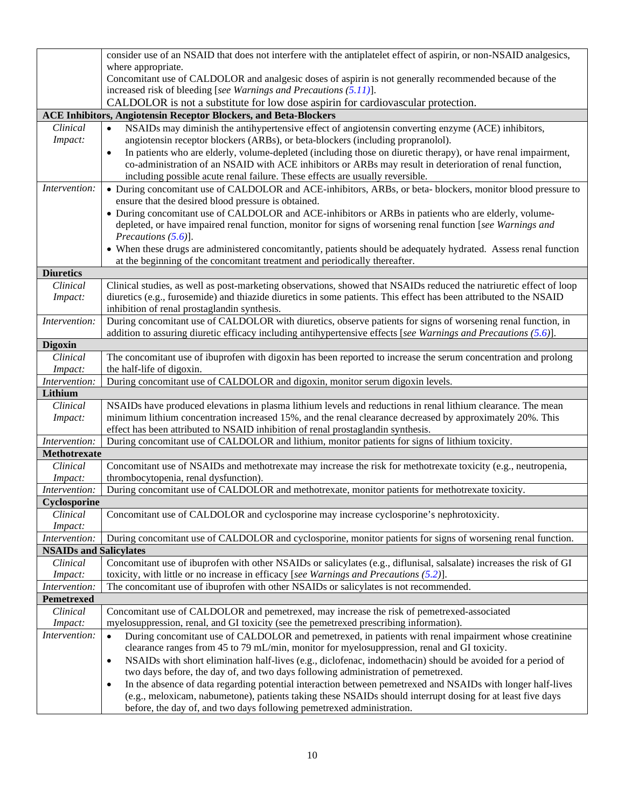<span id="page-9-0"></span>

| consider use of an NSAID that does not interfere with the antiplatelet effect of aspirin, or non-NSAID analgesics,<br>where appropriate.<br>Concomitant use of CALDOLOR and analgesic doses of aspirin is not generally recommended because of the<br>increased risk of bleeding [see Warnings and Precautions (5.11)].<br>CALDOLOR is not a substitute for low dose aspirin for cardiovascular protection.<br><b>ACE Inhibitors, Angiotensin Receptor Blockers, and Beta-Blockers</b><br>Clinical<br>NSAIDs may diminish the antihypertensive effect of angiotensin converting enzyme (ACE) inhibitors,<br>$\bullet$<br>Impact:<br>angiotensin receptor blockers (ARBs), or beta-blockers (including propranolol).<br>In patients who are elderly, volume-depleted (including those on diuretic therapy), or have renal impairment,<br>$\bullet$<br>co-administration of an NSAID with ACE inhibitors or ARBs may result in deterioration of renal function,<br>including possible acute renal failure. These effects are usually reversible.<br>Intervention:<br>• During concomitant use of CALDOLOR and ACE-inhibitors, ARBs, or beta- blockers, monitor blood pressure to<br>ensure that the desired blood pressure is obtained.<br>• During concomitant use of CALDOLOR and ACE-inhibitors or ARBs in patients who are elderly, volume-<br>depleted, or have impaired renal function, monitor for signs of worsening renal function [see Warnings and<br>Precautions $(5.6)$ ].<br>• When these drugs are administered concomitantly, patients should be adequately hydrated. Assess renal function<br>at the beginning of the concomitant treatment and periodically thereafter.<br><b>Diuretics</b><br>Clinical<br>Clinical studies, as well as post-marketing observations, showed that NSAIDs reduced the natriuretic effect of loop<br>diuretics (e.g., furosemide) and thiazide diuretics in some patients. This effect has been attributed to the NSAID<br>Impact:<br>inhibition of renal prostaglandin synthesis.<br>During concomitant use of CALDOLOR with diuretics, observe patients for signs of worsening renal function, in<br>Intervention:<br>addition to assuring diuretic efficacy including antihypertensive effects [see Warnings and Precautions (5.6)]. |
|--------------------------------------------------------------------------------------------------------------------------------------------------------------------------------------------------------------------------------------------------------------------------------------------------------------------------------------------------------------------------------------------------------------------------------------------------------------------------------------------------------------------------------------------------------------------------------------------------------------------------------------------------------------------------------------------------------------------------------------------------------------------------------------------------------------------------------------------------------------------------------------------------------------------------------------------------------------------------------------------------------------------------------------------------------------------------------------------------------------------------------------------------------------------------------------------------------------------------------------------------------------------------------------------------------------------------------------------------------------------------------------------------------------------------------------------------------------------------------------------------------------------------------------------------------------------------------------------------------------------------------------------------------------------------------------------------------------------------------------------------------------------------------------------------------------------------------------------------------------------------------------------------------------------------------------------------------------------------------------------------------------------------------------------------------------------------------------------------------------------------------------------------------------------------------------------------------------------------------------------------------------------------------------|
|                                                                                                                                                                                                                                                                                                                                                                                                                                                                                                                                                                                                                                                                                                                                                                                                                                                                                                                                                                                                                                                                                                                                                                                                                                                                                                                                                                                                                                                                                                                                                                                                                                                                                                                                                                                                                                                                                                                                                                                                                                                                                                                                                                                                                                                                                      |
|                                                                                                                                                                                                                                                                                                                                                                                                                                                                                                                                                                                                                                                                                                                                                                                                                                                                                                                                                                                                                                                                                                                                                                                                                                                                                                                                                                                                                                                                                                                                                                                                                                                                                                                                                                                                                                                                                                                                                                                                                                                                                                                                                                                                                                                                                      |
|                                                                                                                                                                                                                                                                                                                                                                                                                                                                                                                                                                                                                                                                                                                                                                                                                                                                                                                                                                                                                                                                                                                                                                                                                                                                                                                                                                                                                                                                                                                                                                                                                                                                                                                                                                                                                                                                                                                                                                                                                                                                                                                                                                                                                                                                                      |
|                                                                                                                                                                                                                                                                                                                                                                                                                                                                                                                                                                                                                                                                                                                                                                                                                                                                                                                                                                                                                                                                                                                                                                                                                                                                                                                                                                                                                                                                                                                                                                                                                                                                                                                                                                                                                                                                                                                                                                                                                                                                                                                                                                                                                                                                                      |
|                                                                                                                                                                                                                                                                                                                                                                                                                                                                                                                                                                                                                                                                                                                                                                                                                                                                                                                                                                                                                                                                                                                                                                                                                                                                                                                                                                                                                                                                                                                                                                                                                                                                                                                                                                                                                                                                                                                                                                                                                                                                                                                                                                                                                                                                                      |
|                                                                                                                                                                                                                                                                                                                                                                                                                                                                                                                                                                                                                                                                                                                                                                                                                                                                                                                                                                                                                                                                                                                                                                                                                                                                                                                                                                                                                                                                                                                                                                                                                                                                                                                                                                                                                                                                                                                                                                                                                                                                                                                                                                                                                                                                                      |
|                                                                                                                                                                                                                                                                                                                                                                                                                                                                                                                                                                                                                                                                                                                                                                                                                                                                                                                                                                                                                                                                                                                                                                                                                                                                                                                                                                                                                                                                                                                                                                                                                                                                                                                                                                                                                                                                                                                                                                                                                                                                                                                                                                                                                                                                                      |
|                                                                                                                                                                                                                                                                                                                                                                                                                                                                                                                                                                                                                                                                                                                                                                                                                                                                                                                                                                                                                                                                                                                                                                                                                                                                                                                                                                                                                                                                                                                                                                                                                                                                                                                                                                                                                                                                                                                                                                                                                                                                                                                                                                                                                                                                                      |
|                                                                                                                                                                                                                                                                                                                                                                                                                                                                                                                                                                                                                                                                                                                                                                                                                                                                                                                                                                                                                                                                                                                                                                                                                                                                                                                                                                                                                                                                                                                                                                                                                                                                                                                                                                                                                                                                                                                                                                                                                                                                                                                                                                                                                                                                                      |
|                                                                                                                                                                                                                                                                                                                                                                                                                                                                                                                                                                                                                                                                                                                                                                                                                                                                                                                                                                                                                                                                                                                                                                                                                                                                                                                                                                                                                                                                                                                                                                                                                                                                                                                                                                                                                                                                                                                                                                                                                                                                                                                                                                                                                                                                                      |
|                                                                                                                                                                                                                                                                                                                                                                                                                                                                                                                                                                                                                                                                                                                                                                                                                                                                                                                                                                                                                                                                                                                                                                                                                                                                                                                                                                                                                                                                                                                                                                                                                                                                                                                                                                                                                                                                                                                                                                                                                                                                                                                                                                                                                                                                                      |
|                                                                                                                                                                                                                                                                                                                                                                                                                                                                                                                                                                                                                                                                                                                                                                                                                                                                                                                                                                                                                                                                                                                                                                                                                                                                                                                                                                                                                                                                                                                                                                                                                                                                                                                                                                                                                                                                                                                                                                                                                                                                                                                                                                                                                                                                                      |
|                                                                                                                                                                                                                                                                                                                                                                                                                                                                                                                                                                                                                                                                                                                                                                                                                                                                                                                                                                                                                                                                                                                                                                                                                                                                                                                                                                                                                                                                                                                                                                                                                                                                                                                                                                                                                                                                                                                                                                                                                                                                                                                                                                                                                                                                                      |
|                                                                                                                                                                                                                                                                                                                                                                                                                                                                                                                                                                                                                                                                                                                                                                                                                                                                                                                                                                                                                                                                                                                                                                                                                                                                                                                                                                                                                                                                                                                                                                                                                                                                                                                                                                                                                                                                                                                                                                                                                                                                                                                                                                                                                                                                                      |
|                                                                                                                                                                                                                                                                                                                                                                                                                                                                                                                                                                                                                                                                                                                                                                                                                                                                                                                                                                                                                                                                                                                                                                                                                                                                                                                                                                                                                                                                                                                                                                                                                                                                                                                                                                                                                                                                                                                                                                                                                                                                                                                                                                                                                                                                                      |
|                                                                                                                                                                                                                                                                                                                                                                                                                                                                                                                                                                                                                                                                                                                                                                                                                                                                                                                                                                                                                                                                                                                                                                                                                                                                                                                                                                                                                                                                                                                                                                                                                                                                                                                                                                                                                                                                                                                                                                                                                                                                                                                                                                                                                                                                                      |
|                                                                                                                                                                                                                                                                                                                                                                                                                                                                                                                                                                                                                                                                                                                                                                                                                                                                                                                                                                                                                                                                                                                                                                                                                                                                                                                                                                                                                                                                                                                                                                                                                                                                                                                                                                                                                                                                                                                                                                                                                                                                                                                                                                                                                                                                                      |
|                                                                                                                                                                                                                                                                                                                                                                                                                                                                                                                                                                                                                                                                                                                                                                                                                                                                                                                                                                                                                                                                                                                                                                                                                                                                                                                                                                                                                                                                                                                                                                                                                                                                                                                                                                                                                                                                                                                                                                                                                                                                                                                                                                                                                                                                                      |
|                                                                                                                                                                                                                                                                                                                                                                                                                                                                                                                                                                                                                                                                                                                                                                                                                                                                                                                                                                                                                                                                                                                                                                                                                                                                                                                                                                                                                                                                                                                                                                                                                                                                                                                                                                                                                                                                                                                                                                                                                                                                                                                                                                                                                                                                                      |
|                                                                                                                                                                                                                                                                                                                                                                                                                                                                                                                                                                                                                                                                                                                                                                                                                                                                                                                                                                                                                                                                                                                                                                                                                                                                                                                                                                                                                                                                                                                                                                                                                                                                                                                                                                                                                                                                                                                                                                                                                                                                                                                                                                                                                                                                                      |
|                                                                                                                                                                                                                                                                                                                                                                                                                                                                                                                                                                                                                                                                                                                                                                                                                                                                                                                                                                                                                                                                                                                                                                                                                                                                                                                                                                                                                                                                                                                                                                                                                                                                                                                                                                                                                                                                                                                                                                                                                                                                                                                                                                                                                                                                                      |
|                                                                                                                                                                                                                                                                                                                                                                                                                                                                                                                                                                                                                                                                                                                                                                                                                                                                                                                                                                                                                                                                                                                                                                                                                                                                                                                                                                                                                                                                                                                                                                                                                                                                                                                                                                                                                                                                                                                                                                                                                                                                                                                                                                                                                                                                                      |
|                                                                                                                                                                                                                                                                                                                                                                                                                                                                                                                                                                                                                                                                                                                                                                                                                                                                                                                                                                                                                                                                                                                                                                                                                                                                                                                                                                                                                                                                                                                                                                                                                                                                                                                                                                                                                                                                                                                                                                                                                                                                                                                                                                                                                                                                                      |
| <b>Digoxin</b>                                                                                                                                                                                                                                                                                                                                                                                                                                                                                                                                                                                                                                                                                                                                                                                                                                                                                                                                                                                                                                                                                                                                                                                                                                                                                                                                                                                                                                                                                                                                                                                                                                                                                                                                                                                                                                                                                                                                                                                                                                                                                                                                                                                                                                                                       |
| Clinical<br>The concomitant use of ibuprofen with digoxin has been reported to increase the serum concentration and prolong                                                                                                                                                                                                                                                                                                                                                                                                                                                                                                                                                                                                                                                                                                                                                                                                                                                                                                                                                                                                                                                                                                                                                                                                                                                                                                                                                                                                                                                                                                                                                                                                                                                                                                                                                                                                                                                                                                                                                                                                                                                                                                                                                          |
| the half-life of digoxin.<br>Impact:                                                                                                                                                                                                                                                                                                                                                                                                                                                                                                                                                                                                                                                                                                                                                                                                                                                                                                                                                                                                                                                                                                                                                                                                                                                                                                                                                                                                                                                                                                                                                                                                                                                                                                                                                                                                                                                                                                                                                                                                                                                                                                                                                                                                                                                 |
| During concomitant use of CALDOLOR and digoxin, monitor serum digoxin levels.<br>Intervention:                                                                                                                                                                                                                                                                                                                                                                                                                                                                                                                                                                                                                                                                                                                                                                                                                                                                                                                                                                                                                                                                                                                                                                                                                                                                                                                                                                                                                                                                                                                                                                                                                                                                                                                                                                                                                                                                                                                                                                                                                                                                                                                                                                                       |
| Lithium                                                                                                                                                                                                                                                                                                                                                                                                                                                                                                                                                                                                                                                                                                                                                                                                                                                                                                                                                                                                                                                                                                                                                                                                                                                                                                                                                                                                                                                                                                                                                                                                                                                                                                                                                                                                                                                                                                                                                                                                                                                                                                                                                                                                                                                                              |
| NSAIDs have produced elevations in plasma lithium levels and reductions in renal lithium clearance. The mean<br>Clinical                                                                                                                                                                                                                                                                                                                                                                                                                                                                                                                                                                                                                                                                                                                                                                                                                                                                                                                                                                                                                                                                                                                                                                                                                                                                                                                                                                                                                                                                                                                                                                                                                                                                                                                                                                                                                                                                                                                                                                                                                                                                                                                                                             |
| minimum lithium concentration increased 15%, and the renal clearance decreased by approximately 20%. This<br>Impact:                                                                                                                                                                                                                                                                                                                                                                                                                                                                                                                                                                                                                                                                                                                                                                                                                                                                                                                                                                                                                                                                                                                                                                                                                                                                                                                                                                                                                                                                                                                                                                                                                                                                                                                                                                                                                                                                                                                                                                                                                                                                                                                                                                 |
| effect has been attributed to NSAID inhibition of renal prostaglandin synthesis.                                                                                                                                                                                                                                                                                                                                                                                                                                                                                                                                                                                                                                                                                                                                                                                                                                                                                                                                                                                                                                                                                                                                                                                                                                                                                                                                                                                                                                                                                                                                                                                                                                                                                                                                                                                                                                                                                                                                                                                                                                                                                                                                                                                                     |
|                                                                                                                                                                                                                                                                                                                                                                                                                                                                                                                                                                                                                                                                                                                                                                                                                                                                                                                                                                                                                                                                                                                                                                                                                                                                                                                                                                                                                                                                                                                                                                                                                                                                                                                                                                                                                                                                                                                                                                                                                                                                                                                                                                                                                                                                                      |
| During concomitant use of CALDOLOR and lithium, monitor patients for signs of lithium toxicity.<br>Intervention:                                                                                                                                                                                                                                                                                                                                                                                                                                                                                                                                                                                                                                                                                                                                                                                                                                                                                                                                                                                                                                                                                                                                                                                                                                                                                                                                                                                                                                                                                                                                                                                                                                                                                                                                                                                                                                                                                                                                                                                                                                                                                                                                                                     |
| Methotrexate                                                                                                                                                                                                                                                                                                                                                                                                                                                                                                                                                                                                                                                                                                                                                                                                                                                                                                                                                                                                                                                                                                                                                                                                                                                                                                                                                                                                                                                                                                                                                                                                                                                                                                                                                                                                                                                                                                                                                                                                                                                                                                                                                                                                                                                                         |
| Clinical<br>Concomitant use of NSAIDs and methotrexate may increase the risk for methotrexate toxicity (e.g., neutropenia,                                                                                                                                                                                                                                                                                                                                                                                                                                                                                                                                                                                                                                                                                                                                                                                                                                                                                                                                                                                                                                                                                                                                                                                                                                                                                                                                                                                                                                                                                                                                                                                                                                                                                                                                                                                                                                                                                                                                                                                                                                                                                                                                                           |
| thrombocytopenia, renal dysfunction).<br>Impact:                                                                                                                                                                                                                                                                                                                                                                                                                                                                                                                                                                                                                                                                                                                                                                                                                                                                                                                                                                                                                                                                                                                                                                                                                                                                                                                                                                                                                                                                                                                                                                                                                                                                                                                                                                                                                                                                                                                                                                                                                                                                                                                                                                                                                                     |
| During concomitant use of CALDOLOR and methotrexate, monitor patients for methotrexate toxicity.<br>Intervention:                                                                                                                                                                                                                                                                                                                                                                                                                                                                                                                                                                                                                                                                                                                                                                                                                                                                                                                                                                                                                                                                                                                                                                                                                                                                                                                                                                                                                                                                                                                                                                                                                                                                                                                                                                                                                                                                                                                                                                                                                                                                                                                                                                    |
| Cyclosporine                                                                                                                                                                                                                                                                                                                                                                                                                                                                                                                                                                                                                                                                                                                                                                                                                                                                                                                                                                                                                                                                                                                                                                                                                                                                                                                                                                                                                                                                                                                                                                                                                                                                                                                                                                                                                                                                                                                                                                                                                                                                                                                                                                                                                                                                         |
| Concomitant use of CALDOLOR and cyclosporine may increase cyclosporine's nephrotoxicity.<br>Clinical                                                                                                                                                                                                                                                                                                                                                                                                                                                                                                                                                                                                                                                                                                                                                                                                                                                                                                                                                                                                                                                                                                                                                                                                                                                                                                                                                                                                                                                                                                                                                                                                                                                                                                                                                                                                                                                                                                                                                                                                                                                                                                                                                                                 |
| Impact:                                                                                                                                                                                                                                                                                                                                                                                                                                                                                                                                                                                                                                                                                                                                                                                                                                                                                                                                                                                                                                                                                                                                                                                                                                                                                                                                                                                                                                                                                                                                                                                                                                                                                                                                                                                                                                                                                                                                                                                                                                                                                                                                                                                                                                                                              |
| Intervention:<br>During concomitant use of CALDOLOR and cyclosporine, monitor patients for signs of worsening renal function.                                                                                                                                                                                                                                                                                                                                                                                                                                                                                                                                                                                                                                                                                                                                                                                                                                                                                                                                                                                                                                                                                                                                                                                                                                                                                                                                                                                                                                                                                                                                                                                                                                                                                                                                                                                                                                                                                                                                                                                                                                                                                                                                                        |
| <b>NSAIDs and Salicylates</b>                                                                                                                                                                                                                                                                                                                                                                                                                                                                                                                                                                                                                                                                                                                                                                                                                                                                                                                                                                                                                                                                                                                                                                                                                                                                                                                                                                                                                                                                                                                                                                                                                                                                                                                                                                                                                                                                                                                                                                                                                                                                                                                                                                                                                                                        |
| Concomitant use of ibuprofen with other NSAIDs or salicylates (e.g., diflunisal, salsalate) increases the risk of GI<br>Clinical                                                                                                                                                                                                                                                                                                                                                                                                                                                                                                                                                                                                                                                                                                                                                                                                                                                                                                                                                                                                                                                                                                                                                                                                                                                                                                                                                                                                                                                                                                                                                                                                                                                                                                                                                                                                                                                                                                                                                                                                                                                                                                                                                     |
| toxicity, with little or no increase in efficacy [see Warnings and Precautions $(5.2)$ ].<br>Impact:                                                                                                                                                                                                                                                                                                                                                                                                                                                                                                                                                                                                                                                                                                                                                                                                                                                                                                                                                                                                                                                                                                                                                                                                                                                                                                                                                                                                                                                                                                                                                                                                                                                                                                                                                                                                                                                                                                                                                                                                                                                                                                                                                                                 |
| The concomitant use of ibuprofen with other NSAIDs or salicylates is not recommended.<br>Intervention:                                                                                                                                                                                                                                                                                                                                                                                                                                                                                                                                                                                                                                                                                                                                                                                                                                                                                                                                                                                                                                                                                                                                                                                                                                                                                                                                                                                                                                                                                                                                                                                                                                                                                                                                                                                                                                                                                                                                                                                                                                                                                                                                                                               |
| <b>Pemetrexed</b>                                                                                                                                                                                                                                                                                                                                                                                                                                                                                                                                                                                                                                                                                                                                                                                                                                                                                                                                                                                                                                                                                                                                                                                                                                                                                                                                                                                                                                                                                                                                                                                                                                                                                                                                                                                                                                                                                                                                                                                                                                                                                                                                                                                                                                                                    |
| Concomitant use of CALDOLOR and pemetrexed, may increase the risk of pemetrexed-associated<br>Clinical                                                                                                                                                                                                                                                                                                                                                                                                                                                                                                                                                                                                                                                                                                                                                                                                                                                                                                                                                                                                                                                                                                                                                                                                                                                                                                                                                                                                                                                                                                                                                                                                                                                                                                                                                                                                                                                                                                                                                                                                                                                                                                                                                                               |
| myelosuppression, renal, and GI toxicity (see the pemetrexed prescribing information).<br>Impact:                                                                                                                                                                                                                                                                                                                                                                                                                                                                                                                                                                                                                                                                                                                                                                                                                                                                                                                                                                                                                                                                                                                                                                                                                                                                                                                                                                                                                                                                                                                                                                                                                                                                                                                                                                                                                                                                                                                                                                                                                                                                                                                                                                                    |
| Intervention:<br>During concomitant use of CALDOLOR and pemetrexed, in patients with renal impairment whose creatinine<br>$\bullet$                                                                                                                                                                                                                                                                                                                                                                                                                                                                                                                                                                                                                                                                                                                                                                                                                                                                                                                                                                                                                                                                                                                                                                                                                                                                                                                                                                                                                                                                                                                                                                                                                                                                                                                                                                                                                                                                                                                                                                                                                                                                                                                                                  |
| clearance ranges from 45 to 79 mL/min, monitor for myelosuppression, renal and GI toxicity.                                                                                                                                                                                                                                                                                                                                                                                                                                                                                                                                                                                                                                                                                                                                                                                                                                                                                                                                                                                                                                                                                                                                                                                                                                                                                                                                                                                                                                                                                                                                                                                                                                                                                                                                                                                                                                                                                                                                                                                                                                                                                                                                                                                          |
| NSAIDs with short elimination half-lives (e.g., diclofenac, indomethacin) should be avoided for a period of<br>$\bullet$                                                                                                                                                                                                                                                                                                                                                                                                                                                                                                                                                                                                                                                                                                                                                                                                                                                                                                                                                                                                                                                                                                                                                                                                                                                                                                                                                                                                                                                                                                                                                                                                                                                                                                                                                                                                                                                                                                                                                                                                                                                                                                                                                             |
| two days before, the day of, and two days following administration of pemetrexed.                                                                                                                                                                                                                                                                                                                                                                                                                                                                                                                                                                                                                                                                                                                                                                                                                                                                                                                                                                                                                                                                                                                                                                                                                                                                                                                                                                                                                                                                                                                                                                                                                                                                                                                                                                                                                                                                                                                                                                                                                                                                                                                                                                                                    |
| In the absence of data regarding potential interaction between pemetrexed and NSAIDs with longer half-lives<br>$\bullet$<br>(e.g., meloxicam, nabumetone), patients taking these NSAIDs should interrupt dosing for at least five days                                                                                                                                                                                                                                                                                                                                                                                                                                                                                                                                                                                                                                                                                                                                                                                                                                                                                                                                                                                                                                                                                                                                                                                                                                                                                                                                                                                                                                                                                                                                                                                                                                                                                                                                                                                                                                                                                                                                                                                                                                               |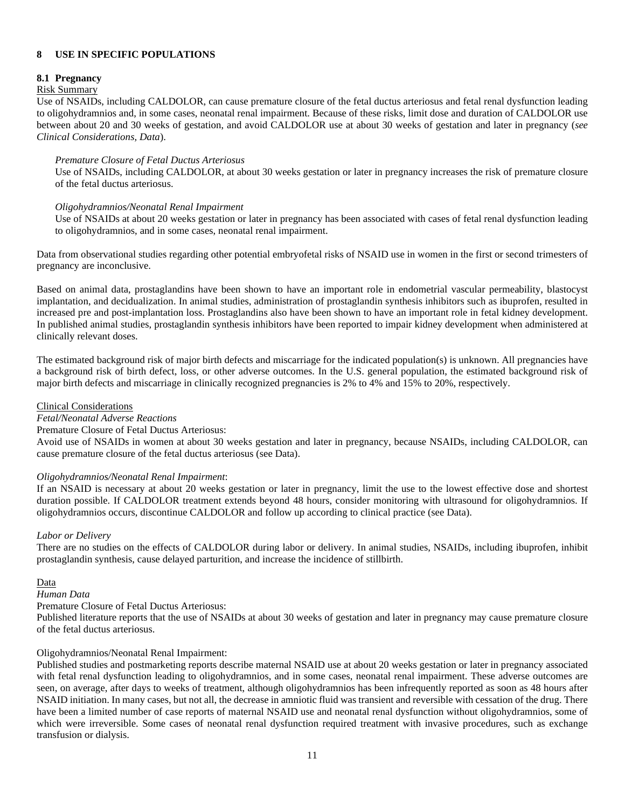#### **8 USE IN SPECIFIC POPULATIONS**

## <span id="page-10-0"></span>**8.1 Pregnancy**

### Risk Summary

Use of NSAIDs, including CALDOLOR, can cause premature closure of the fetal ductus arteriosus and fetal renal dysfunction leading to oligohydramnios and, in some cases, neonatal renal impairment. Because of these risks, limit dose and duration of CALDOLOR use between about 20 and 30 weeks of gestation, and avoid CALDOLOR use at about 30 weeks of gestation and later in pregnancy (*see Clinical Considerations, Data*).

#### *Premature Closure of Fetal Ductus Arteriosus*

Use of NSAIDs, including CALDOLOR, at about 30 weeks gestation or later in pregnancy increases the risk of premature closure of the fetal ductus arteriosus.

### *Oligohydramnios/Neonatal Renal Impairment*

Use of NSAIDs at about 20 weeks gestation or later in pregnancy has been associated with cases of fetal renal dysfunction leading to oligohydramnios, and in some cases, neonatal renal impairment.

Data from observational studies regarding other potential embryofetal risks of NSAID use in women in the first or second trimesters of pregnancy are inconclusive.

Based on animal data, prostaglandins have been shown to have an important role in endometrial vascular permeability, blastocyst implantation, and decidualization. In animal studies, administration of prostaglandin synthesis inhibitors such as ibuprofen, resulted in increased pre and post-implantation loss. Prostaglandins also have been shown to have an important role in fetal kidney development. In published animal studies, prostaglandin synthesis inhibitors have been reported to impair kidney development when administered at clinically relevant doses.

The estimated background risk of major birth defects and miscarriage for the indicated population(s) is unknown. All pregnancies have a background risk of birth defect, loss, or other adverse outcomes. In the U.S. general population, the estimated background risk of major birth defects and miscarriage in clinically recognized pregnancies is 2% to 4% and 15% to 20%, respectively.

#### Clinical Considerations

# *Fetal/Neonatal Adverse Reactions*

# Premature Closure of Fetal Ductus Arteriosus:

Avoid use of NSAIDs in women at about 30 weeks gestation and later in pregnancy, because NSAIDs, including CALDOLOR, can cause premature closure of the fetal ductus arteriosus (see Data).

#### *Oligohydramnios/Neonatal Renal Impairment*:

If an NSAID is necessary at about 20 weeks gestation or later in pregnancy, limit the use to the lowest effective dose and shortest duration possible. If CALDOLOR treatment extends beyond 48 hours, consider monitoring with ultrasound for oligohydramnios. If oligohydramnios occurs, discontinue CALDOLOR and follow up according to clinical practice (see Data).

# *Labor or Delivery*

There are no studies on the effects of CALDOLOR during labor or delivery. In animal studies, NSAIDs, including ibuprofen, inhibit prostaglandin synthesis, cause delayed parturition, and increase the incidence of stillbirth.

#### Data

# *Human Data*

Premature Closure of Fetal Ductus Arteriosus:

Published literature reports that the use of NSAIDs at about 30 weeks of gestation and later in pregnancy may cause premature closure of the fetal ductus arteriosus.

#### Oligohydramnios/Neonatal Renal Impairment:

Published studies and postmarketing reports describe maternal NSAID use at about 20 weeks gestation or later in pregnancy associated with fetal renal dysfunction leading to oligohydramnios, and in some cases, neonatal renal impairment. These adverse outcomes are seen, on average, after days to weeks of treatment, although oligohydramnios has been infrequently reported as soon as 48 hours after NSAID initiation. In many cases, but not all, the decrease in amniotic fluid was transient and reversible with cessation of the drug. There have been a limited number of case reports of maternal NSAID use and neonatal renal dysfunction without oligohydramnios, some of which were irreversible. Some cases of neonatal renal dysfunction required treatment with invasive procedures, such as exchange transfusion or dialysis.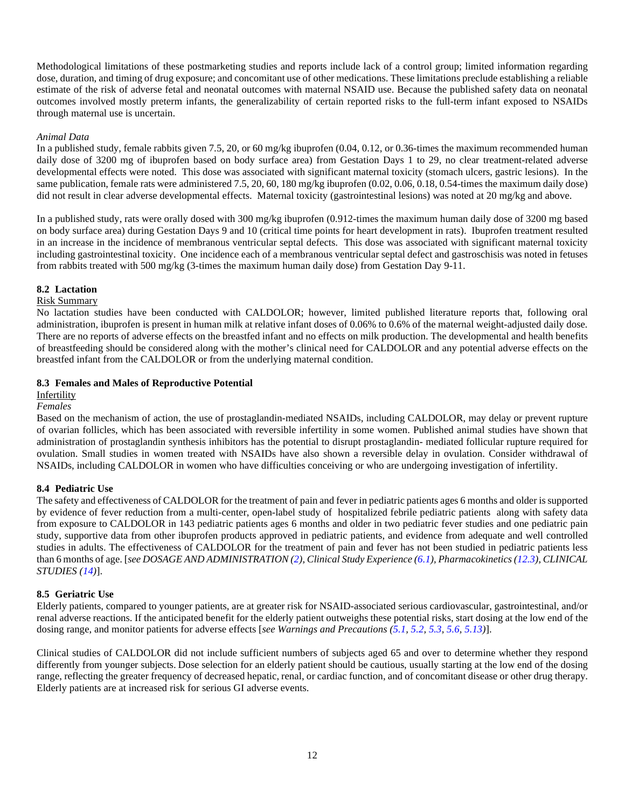Methodological limitations of these postmarketing studies and reports include lack of a control group; limited information regarding dose, duration, and timing of drug exposure; and concomitant use of other medications. These limitations preclude establishing a reliable estimate of the risk of adverse fetal and neonatal outcomes with maternal NSAID use. Because the published safety data on neonatal outcomes involved mostly preterm infants, the generalizability of certain reported risks to the full-term infant exposed to NSAIDs through maternal use is uncertain.

### *Animal Data*

In a published study, female rabbits given 7.5, 20, or 60 mg/kg ibuprofen (0.04, 0.12, or 0.36-times the maximum recommended human daily dose of 3200 mg of ibuprofen based on body surface area) from Gestation Days 1 to 29, no clear treatment-related adverse developmental effects were noted. This dose was associated with significant maternal toxicity (stomach ulcers, gastric lesions). In the same publication, female rats were administered 7.5, 20, 60, 180 mg/kg ibuprofen (0.02, 0.06, 0.18, 0.54-times the maximum daily dose) did not result in clear adverse developmental effects. Maternal toxicity (gastrointestinal lesions) was noted at 20 mg/kg and above.

In a published study, rats were orally dosed with 300 mg/kg ibuprofen (0.912-times the maximum human daily dose of 3200 mg based on body surface area) during Gestation Days 9 and 10 (critical time points for heart development in rats). Ibuprofen treatment resulted in an increase in the incidence of membranous ventricular septal defects. This dose was associated with significant maternal toxicity including gastrointestinal toxicity. One incidence each of a membranous ventricular septal defect and gastroschisis was noted in fetuses from rabbits treated with 500 mg/kg (3-times the maximum human daily dose) from Gestation Day 9-11.

### <span id="page-11-1"></span>**8.2 Lactation**

### Risk Summary

No lactation studies have been conducted with CALDOLOR; however, limited published literature reports that, following oral administration, ibuprofen is present in human milk at relative infant doses of 0.06% to 0.6% of the maternal weight-adjusted daily dose*.* There are no reports of adverse effects on the breastfed infant and no effects on milk production. The developmental and health benefits of breastfeeding should be considered along with the mother's clinical need for CALDOLOR and any potential adverse effects on the breastfed infant from the CALDOLOR or from the underlying maternal condition.

### <span id="page-11-0"></span>**8.3 Females and Males of Reproductive Potential**

# Infertility

#### *Females*

Based on the mechanism of action, the use of prostaglandin-mediated NSAIDs, including CALDOLOR, may delay or prevent rupture of ovarian follicles, which has been associated with reversible infertility in some women. Published animal studies have shown that administration of prostaglandin synthesis inhibitors has the potential to disrupt prostaglandin- mediated follicular rupture required for ovulation. Small studies in women treated with NSAIDs have also shown a reversible delay in ovulation. Consider withdrawal of NSAIDs, including CALDOLOR in women who have difficulties conceiving or who are undergoing investigation of infertility.

# <span id="page-11-2"></span>**8.4 Pediatric Use**

The safety and effectiveness of CALDOLOR for the treatment of pain and fever in pediatric patients ages 6 months and older issupported by evidence of fever reduction from a multi-center, open-label study of hospitalized febrile pediatric patients along with safety data from exposure to CALDOLOR in 143 pediatric patients ages 6 months and older in two pediatric fever studies and one pediatric pain study, supportive data from other ibuprofen products approved in pediatric patients, and evidence from adequate and well controlled studies in adults. The effectiveness of CALDOLOR for the treatment of pain and fever has not been studied in pediatric patients less than 6 months of age. [*see DOSAGE AND ADMINISTRATION [\(2\)](#page-2-2), Clinical Study Experience [\(6.1\)](#page-7-1), Pharmacokinetics [\(12.3\)](#page-13-0), CLINICAL STUDIES [\(14\)](#page-14-1)*].

# <span id="page-11-3"></span>**8.5 Geriatric Use**

Elderly patients, compared to younger patients, are at greater risk for NSAID-associated serious cardiovascular, gastrointestinal, and/or renal adverse reactions. If the anticipated benefit for the elderly patient outweighs these potential risks, start dosing at the low end of the dosing range, and monitor patients for adverse effects [*see Warnings and Precautions [\(5.1,](#page-3-0) [5.2,](#page-4-0) [5.3,](#page-4-1) [5.6,](#page-5-1) [5.13\)](#page-6-2)*].

Clinical studies of CALDOLOR did not include sufficient numbers of subjects aged 65 and over to determine whether they respond differently from younger subjects. Dose selection for an elderly patient should be cautious, usually starting at the low end of the dosing range, reflecting the greater frequency of decreased hepatic, renal, or cardiac function, and of concomitant disease or other drug therapy. Elderly patients are at increased risk for serious GI adverse events.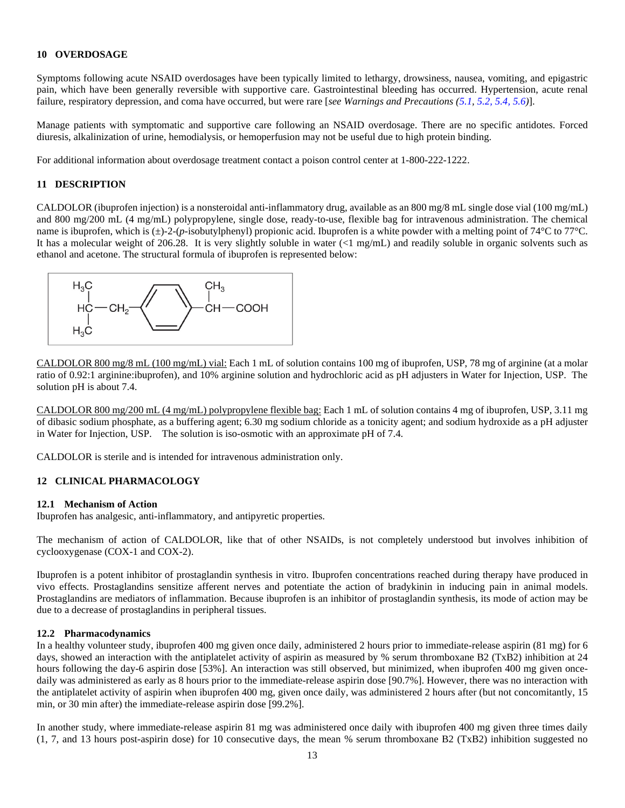#### <span id="page-12-0"></span>**10 OVERDOSAGE**

Symptoms following acute NSAID overdosages have been typically limited to lethargy, drowsiness, nausea, vomiting, and epigastric pain, which have been generally reversible with supportive care. Gastrointestinal bleeding has occurred. Hypertension, acute renal failure, respiratory depression, and coma have occurred, but were rare [*see Warnings and Precautions [\(5.1,](#page-3-0) [5.2,](#page-4-0) [5.4,](#page-4-2) [5.6\)](#page-5-1)*].

Manage patients with symptomatic and supportive care following an NSAID overdosage. There are no specific antidotes. Forced diuresis, alkalinization of urine, hemodialysis, or hemoperfusion may not be useful due to high protein binding.

<span id="page-12-1"></span>For additional information about overdosage treatment contact a poison control center at 1-800-222-1222.

# **11 DESCRIPTION**

CALDOLOR (ibuprofen injection) is a nonsteroidal anti-inflammatory drug, available as an 800 mg/8 mL single dose vial (100 mg/mL) and 800 mg/200 mL (4 mg/mL) polypropylene, single dose, ready-to-use, flexible bag for intravenous administration. The chemical name is ibuprofen, which is ( $\pm$ )-2-(*p*-isobutylphenyl) propionic acid. Ibuprofen is a white powder with a melting point of 74°C to 77°C. It has a molecular weight of 206.28. It is very slightly soluble in water  $\langle$  mg/mL) and readily soluble in organic solvents such as ethanol and acetone. The structural formula of ibuprofen is represented below:



CALDOLOR 800 mg/8 mL (100 mg/mL) vial: Each 1 mL of solution contains 100 mg of ibuprofen, USP, 78 mg of arginine (at a molar ratio of 0.92:1 arginine:ibuprofen), and 10% arginine solution and hydrochloric acid as pH adjusters in Water for Injection, USP. The solution pH is about 7.4.

CALDOLOR 800 mg/200 mL (4 mg/mL) polypropylene flexible bag: Each 1 mL of solution contains 4 mg of ibuprofen, USP, 3.11 mg of dibasic sodium phosphate, as a buffering agent; 6.30 mg sodium chloride as a tonicity agent; and sodium hydroxide as a pH adjuster in Water for Injection, USP. The solution is iso-osmotic with an approximate pH of 7.4.

<span id="page-12-2"></span>CALDOLOR is sterile and is intended for intravenous administration only.

# **12 CLINICAL PHARMACOLOGY**

# <span id="page-12-3"></span>**12.1 Mechanism of Action**

Ibuprofen has analgesic, anti-inflammatory, and antipyretic properties.

The mechanism of action of CALDOLOR, like that of other NSAIDs, is not completely understood but involves inhibition of cyclooxygenase (COX-1 and COX-2).

Ibuprofen is a potent inhibitor of prostaglandin synthesis in vitro. Ibuprofen concentrations reached during therapy have produced in vivo effects. Prostaglandins sensitize afferent nerves and potentiate the action of bradykinin in inducing pain in animal models. Prostaglandins are mediators of inflammation. Because ibuprofen is an inhibitor of prostaglandin synthesis, its mode of action may be due to a decrease of prostaglandins in peripheral tissues.

#### <span id="page-12-4"></span>**12.2 Pharmacodynamics**

In a healthy volunteer study, ibuprofen 400 mg given once daily, administered 2 hours prior to immediate-release aspirin (81 mg) for 6 days, showed an interaction with the antiplatelet activity of aspirin as measured by % serum thromboxane B2 (TxB2) inhibition at 24 hours following the day-6 aspirin dose [53%]. An interaction was still observed, but minimized, when ibuprofen 400 mg given oncedaily was administered as early as 8 hours prior to the immediate-release aspirin dose [90.7%]. However, there was no interaction with the antiplatelet activity of aspirin when ibuprofen 400 mg, given once daily, was administered 2 hours after (but not concomitantly, 15 min, or 30 min after) the immediate-release aspirin dose [99.2%].

In another study, where immediate-release aspirin 81 mg was administered once daily with ibuprofen 400 mg given three times daily (1, 7, and 13 hours post-aspirin dose) for 10 consecutive days, the mean % serum thromboxane B2 (TxB2) inhibition suggested no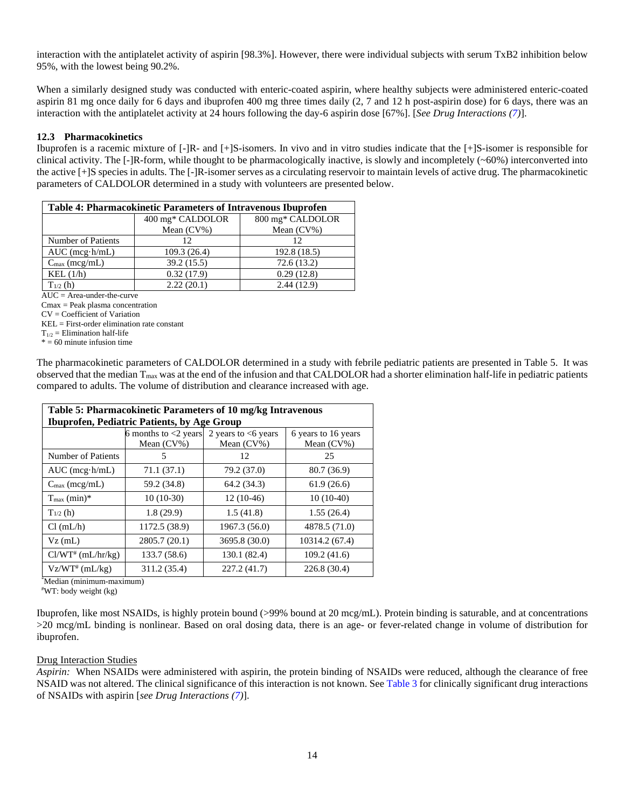interaction with the antiplatelet activity of aspirin [98.3%]. However, there were individual subjects with serum TxB2 inhibition below 95%, with the lowest being 90.2%.

When a similarly designed study was conducted with enteric-coated aspirin, where healthy subjects were administered enteric-coated aspirin 81 mg once daily for 6 days and ibuprofen 400 mg three times daily (2, 7 and 12 h post-aspirin dose) for 6 days, there was an interaction with the antiplatelet activity at 24 hours following the day-6 aspirin dose [67%]. [*See Drug Interactions [\(7\)](#page-8-0)*].

### <span id="page-13-0"></span>**12.3 Pharmacokinetics**

Ibuprofen is a racemic mixture of [-]R- and [+]S-isomers. In vivo and in vitro studies indicate that the [+]S-isomer is responsible for clinical activity. The [-]R-form, while thought to be pharmacologically inactive, is slowly and incompletely (~60%) interconverted into the active [+]S species in adults. The [-]R-isomer serves as a circulating reservoir to maintain levels of active drug. The pharmacokinetic parameters of CALDOLOR determined in a study with volunteers are presented below.

| Table 4: Pharmacokinetic Parameters of Intravenous Ibuprofen |                  |                  |  |  |
|--------------------------------------------------------------|------------------|------------------|--|--|
|                                                              | 400 mg* CALDOLOR | 800 mg* CALDOLOR |  |  |
|                                                              | Mean $(CV\%)$    | Mean $(CV\%)$    |  |  |
| Number of Patients                                           | 12               | 12               |  |  |
| $AUC$ (mcg $\cdot$ h/mL)                                     | 109.3(26.4)      | 192.8 (18.5)     |  |  |
| $C_{\text{max}}$ (mcg/mL)                                    | 39.2(15.5)       | 72.6(13.2)       |  |  |
| KEL(1/h)                                                     | 0.32(17.9)       | 0.29(12.8)       |  |  |
| $T_{1/2}$ (h)                                                | 2.22(20.1)       | 2.44(12.9)       |  |  |

AUC = Area-under-the-curve

Cmax = Peak plasma concentration

CV = Coefficient of Variation

KEL = First-order elimination rate constant

 $T_{1/2}$  = Elimination half-life

 $* = 60$  minute infusion time

The pharmacokinetic parameters of CALDOLOR determined in a study with febrile pediatric patients are presented in Table 5. It was observed that the median  $T_{\text{max}}$  was at the end of the infusion and that CALDOLOR had a shorter elimination half-life in pediatric patients compared to adults. The volume of distribution and clearance increased with age.

| Table 5: Pharmacokinetic Parameters of 10 mg/kg Intravenous |                         |                       |                     |  |  |
|-------------------------------------------------------------|-------------------------|-----------------------|---------------------|--|--|
| <b>Ibuprofen, Pediatric Patients, by Age Group</b>          |                         |                       |                     |  |  |
|                                                             | 6 months to $<$ 2 years | 2 years to $<6$ years | 6 years to 16 years |  |  |
|                                                             | Mean $(CV\%)$           | Mean $(CV\%)$         | Mean $(CV\%)$       |  |  |
| Number of Patients                                          | 5                       | 12                    | 25                  |  |  |
| $AUC$ (mcg $\cdot$ h/mL)                                    | 71.1 (37.1)             | 79.2 (37.0)           | 80.7 (36.9)         |  |  |
| $C_{\text{max}}$ (mcg/mL)                                   | 59.2 (34.8)             | 64.2 (34.3)           | 61.9(26.6)          |  |  |
| $T_{\text{max}}$ (min)*                                     | $10(10-30)$             | $12(10-46)$           | $10(10-40)$         |  |  |
| $T_{1/2}$ (h)                                               | 1.8(29.9)               | 1.5(41.8)             | 1.55(26.4)          |  |  |
| Cl (mL/h)                                                   | 1172.5 (38.9)           | 1967.3 (56.0)         | 4878.5 (71.0)       |  |  |
| $Vz$ (mL)                                                   | 2805.7 (20.1)           | 3695.8 (30.0)         | 10314.2 (67.4)      |  |  |
| $Cl/WT^*$ (mL/hr/kg)                                        | 133.7 (58.6)            | 130.1 (82.4)          | 109.2(41.6)         |  |  |
| $Vz/WT^*$ (mL/kg)                                           | 311.2 (35.4)            | 227.2(41.7)           | 226.8(30.4)         |  |  |

\* Median (minimum-maximum)

# WT: body weight (kg)

Ibuprofen, like most NSAIDs, is highly protein bound (>99% bound at 20 mcg/mL). Protein binding is saturable, and at concentrations >20 mcg/mL binding is nonlinear. Based on oral dosing data, there is an age- or fever-related change in volume of distribution for ibuprofen.

#### Drug Interaction Studies

<span id="page-13-1"></span>*Aspirin:* When NSAIDs were administered with aspirin, the protein binding of NSAIDs were reduced, although the clearance of free NSAID was not altered. The clinical significance of this interaction is not known. Se[e Table 3](#page-8-1) for clinically significant drug interactions of NSAIDs with aspirin [*see Drug Interactions [\(7\)](#page-8-0)*].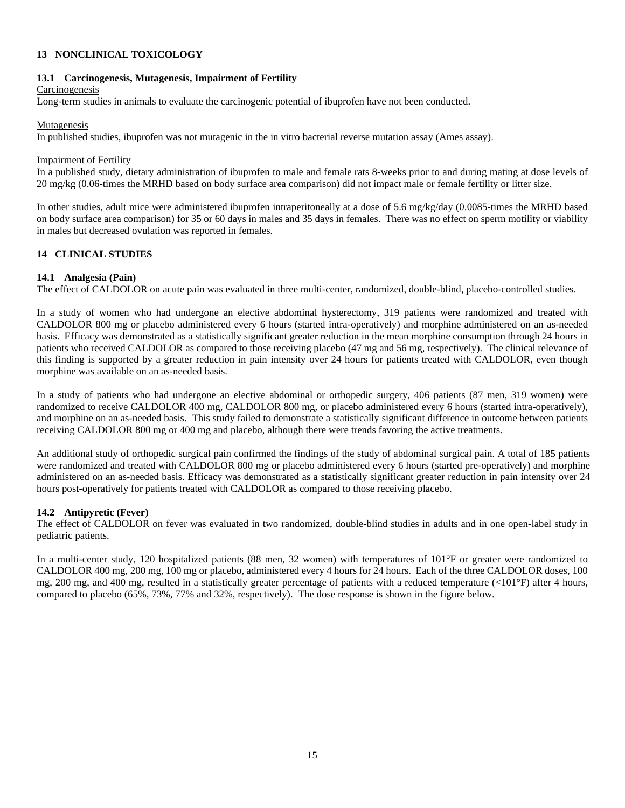# **13 NONCLINICAL TOXICOLOGY**

### <span id="page-14-0"></span>**13.1 Carcinogenesis, Mutagenesis, Impairment of Fertility**

Carcinogenesis

Long-term studies in animals to evaluate the carcinogenic potential of ibuprofen have not been conducted.

#### Mutagenesis

In published studies, ibuprofen was not mutagenic in the in vitro bacterial reverse mutation assay (Ames assay).

### Impairment of Fertility

In a published study, dietary administration of ibuprofen to male and female rats 8-weeks prior to and during mating at dose levels of 20 mg/kg (0.06-times the MRHD based on body surface area comparison) did not impact male or female fertility or litter size.

In other studies, adult mice were administered ibuprofen intraperitoneally at a dose of 5.6 mg/kg/day (0.0085-times the MRHD based on body surface area comparison) for 35 or 60 days in males and 35 days in females. There was no effect on sperm motility or viability in males but decreased ovulation was reported in females.

# <span id="page-14-1"></span>**14 CLINICAL STUDIES**

# <span id="page-14-2"></span>**14.1 Analgesia (Pain)**

The effect of CALDOLOR on acute pain was evaluated in three multi-center, randomized, double-blind, placebo-controlled studies.

In a study of women who had undergone an elective abdominal hysterectomy, 319 patients were randomized and treated with CALDOLOR 800 mg or placebo administered every 6 hours (started intra-operatively) and morphine administered on an as-needed basis. Efficacy was demonstrated as a statistically significant greater reduction in the mean morphine consumption through 24 hours in patients who received CALDOLOR as compared to those receiving placebo (47 mg and 56 mg, respectively). The clinical relevance of this finding is supported by a greater reduction in pain intensity over 24 hours for patients treated with CALDOLOR, even though morphine was available on an as-needed basis.

In a study of patients who had undergone an elective abdominal or orthopedic surgery, 406 patients (87 men, 319 women) were randomized to receive CALDOLOR 400 mg, CALDOLOR 800 mg, or placebo administered every 6 hours (started intra-operatively), and morphine on an as-needed basis. This study failed to demonstrate a statistically significant difference in outcome between patients receiving CALDOLOR 800 mg or 400 mg and placebo, although there were trends favoring the active treatments.

An additional study of orthopedic surgical pain confirmed the findings of the study of abdominal surgical pain. A total of 185 patients were randomized and treated with CALDOLOR 800 mg or placebo administered every 6 hours (started pre-operatively) and morphine administered on an as-needed basis. Efficacy was demonstrated as a statistically significant greater reduction in pain intensity over 24 hours post-operatively for patients treated with CALDOLOR as compared to those receiving placebo.

# <span id="page-14-3"></span>**14.2 Antipyretic (Fever)**

The effect of CALDOLOR on fever was evaluated in two randomized, double-blind studies in adults and in one open-label study in pediatric patients.

In a multi-center study, 120 hospitalized patients (88 men, 32 women) with temperatures of 101°F or greater were randomized to CALDOLOR 400 mg, 200 mg, 100 mg or placebo, administered every 4 hours for 24 hours. Each of the three CALDOLOR doses, 100 mg, 200 mg, and 400 mg, resulted in a statistically greater percentage of patients with a reduced temperature (<101°F) after 4 hours, compared to placebo (65%, 73%, 77% and 32%, respectively). The dose response is shown in the figure below.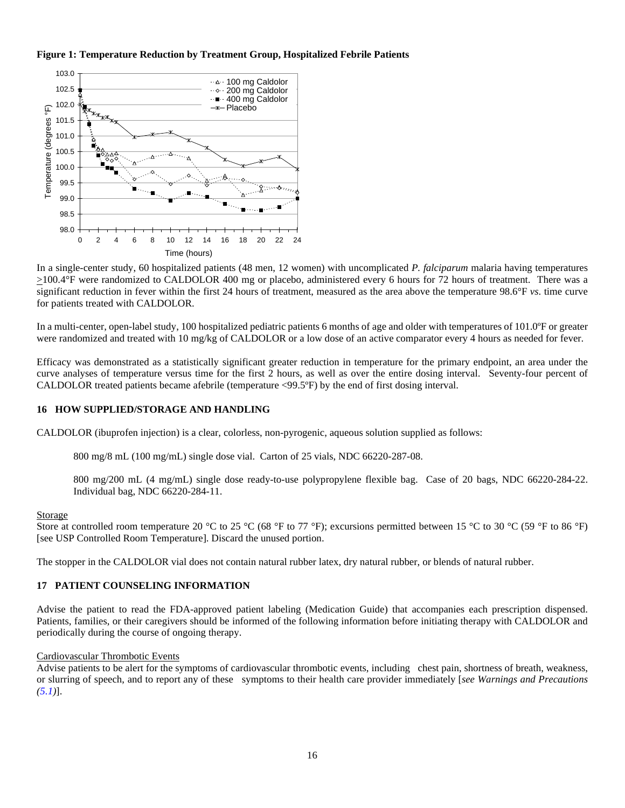**Figure 1: Temperature Reduction by Treatment Group, Hospitalized Febrile Patients**



In a single-center study, 60 hospitalized patients (48 men, 12 women) with uncomplicated *P. falciparum* malaria having temperatures >100.4°F were randomized to CALDOLOR 400 mg or placebo, administered every 6 hours for 72 hours of treatment. There was a significant reduction in fever within the first 24 hours of treatment, measured as the area above the temperature 98.6°F *vs*. time curve for patients treated with CALDOLOR.

In a multi-center, open-label study, 100 hospitalized pediatric patients 6 months of age and older with temperatures of 101.0ºF or greater were randomized and treated with 10 mg/kg of CALDOLOR or a low dose of an active comparator every 4 hours as needed for fever.

Efficacy was demonstrated as a statistically significant greater reduction in temperature for the primary endpoint, an area under the curve analyses of temperature versus time for the first 2 hours, as well as over the entire dosing interval. Seventy-four percent of CALDOLOR treated patients became afebrile (temperature <99.5ºF) by the end of first dosing interval.

# <span id="page-15-1"></span>**16 HOW SUPPLIED/STORAGE AND HANDLING**

CALDOLOR (ibuprofen injection) is a clear, colorless, non-pyrogenic, aqueous solution supplied as follows:

800 mg/8 mL (100 mg/mL) single dose vial. Carton of 25 vials, NDC 66220-287-08.

800 mg/200 mL (4 mg/mL) single dose ready-to-use polypropylene flexible bag. Case of 20 bags, NDC 66220-284-22. Individual bag, NDC 66220-284-11.

#### Storage

Store at controlled room temperature 20 °C to 25 °C (68 °F to 77 °F); excursions permitted between 15 °C to 30 °C (59 °F to 86 °F) [see USP Controlled Room Temperature]. Discard the unused portion.

<span id="page-15-0"></span>The stopper in the CALDOLOR vial does not contain natural rubber latex, dry natural rubber, or blends of natural rubber.

# **17 PATIENT COUNSELING INFORMATION**

Advise the patient to read the FDA-approved patient labeling (Medication Guide) that accompanies each prescription dispensed. Patients, families, or their caregivers should be informed of the following information before initiating therapy with CALDOLOR and periodically during the course of ongoing therapy.

# Cardiovascular Thrombotic Events

Advise patients to be alert for the symptoms of cardiovascular thrombotic events, including chest pain, shortness of breath, weakness, or slurring of speech, and to report any of these symptoms to their health care provider immediately [*see Warnings and Precautions [\(5.1\)](#page-3-0)*].